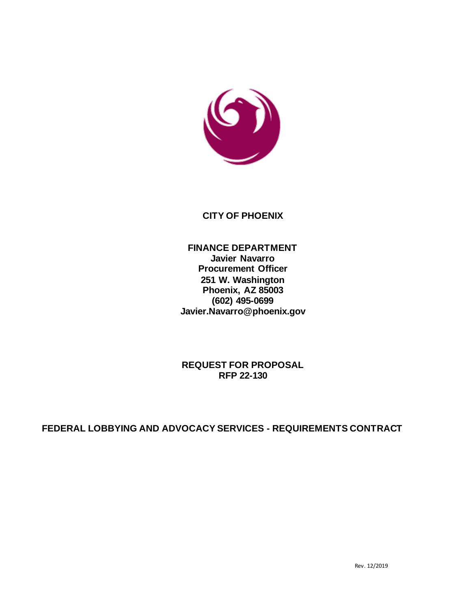

### **CITY OF PHOENIX**

### **FINANCE DEPARTMENT Javier Navarro Procurement Officer 251 W. Washington Phoenix, AZ 85003 (602) 495-0699 Javier.Navarro@phoenix.gov**

**REQUEST FOR PROPOSAL RFP 22-130**

**FEDERAL LOBBYING AND ADVOCACY SERVICES - REQUIREMENTS CONTRACT**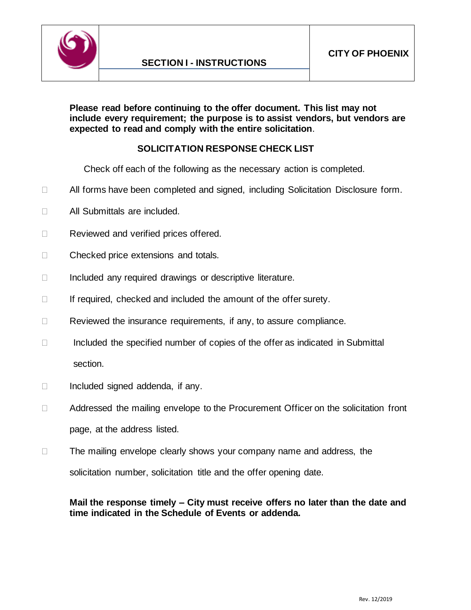

**Please read before continuing to the offer document. This list may not include every requirement; the purpose is to assist vendors, but vendors are expected to read and comply with the entire solicitation**.

# **SOLICITATION RESPONSE CHECK LIST**

Check off each of the following as the necessary action is completed.

- □ All forms have been completed and signed, including Solicitation Disclosure form.
- □ All Submittals are included.
- Reviewed and verified prices offered.
- □ Checked price extensions and totals.
- $\Box$  Included any required drawings or descriptive literature.
- $\Box$  If required, checked and included the amount of the offer surety.
- $\Box$  Reviewed the insurance requirements, if any, to assure compliance.
- $\Box$  Included the specified number of copies of the offer as indicated in Submittal section.
- $\Box$  Included signed addenda, if any.
- □ Addressed the mailing envelope to the Procurement Officer on the solicitation front page, at the address listed.
- $\Box$  The mailing envelope clearly shows your company name and address, the solicitation number, solicitation title and the offer opening date.

### **Mail the response timely – City must receive offers no later than the date and time indicated in the Schedule of Events or addenda.**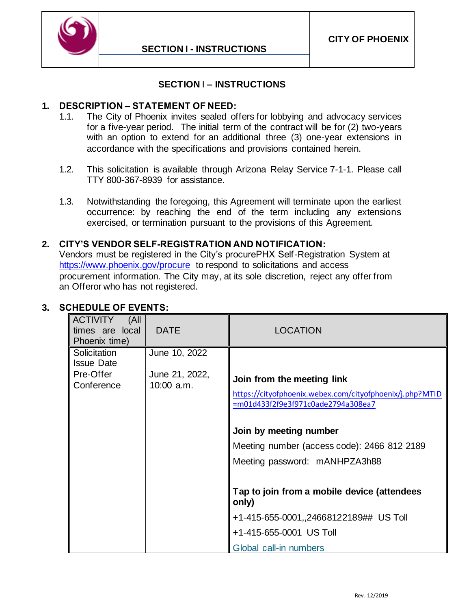

### **SECTION** I **– INSTRUCTIONS**

### <span id="page-3-0"></span>**1. DESCRIPTION – STATEMENT OF NEED:**

- 1.1. The City of Phoenix invites sealed offers for lobbying and advocacy services for a five-year period. The initial term of the contract will be for (2) two-years with an option to extend for an additional three (3) one-year extensions in accordance with the specifications and provisions contained herein.
- 1.2. This solicitation is available through Arizona Relay Service 7-1-1. Please call TTY 800-367-8939 for assistance.
- 1.3. Notwithstanding the foregoing, this Agreement will terminate upon the earliest occurrence: by reaching the end of the term including any extensions exercised, or termination pursuant to the provisions of this Agreement.

#### **2. CITY'S VENDOR SELF-REGISTRATION AND NOTIFICATION:**

Vendors must be registered in the City's procurePHX Self-Registration System at <https://www.phoenix.gov/procure> to respond to solicitations and access procurement information. The City may, at its sole discretion, reject any offer from an Offeror who has not registered.

| <b>ACTIVITY</b><br>(All<br>times are local<br>Phoenix time) | <b>DATE</b>                    | <b>LOCATION</b>                                                                                                                                                                                                                        |
|-------------------------------------------------------------|--------------------------------|----------------------------------------------------------------------------------------------------------------------------------------------------------------------------------------------------------------------------------------|
| Solicitation<br><b>Issue Date</b>                           | June 10, 2022                  |                                                                                                                                                                                                                                        |
| Pre-Offer<br>Conference                                     | June 21, 2022,<br>$10:00$ a.m. | Join from the meeting link<br>https://cityofphoenix.webex.com/cityofphoenix/j.php?MTID<br>=m01d433f2f9e3f971c0ade2794a308ea7<br>Join by meeting number<br>Meeting number (access code): 2466 812 2189<br>Meeting password: mANHPZA3h88 |
|                                                             |                                | Tap to join from a mobile device (attendees<br>only)                                                                                                                                                                                   |
|                                                             |                                | +1-415-655-0001,,24668122189## US Toll                                                                                                                                                                                                 |
|                                                             |                                | +1-415-655-0001 US Toll                                                                                                                                                                                                                |
|                                                             |                                | Global call-in numbers                                                                                                                                                                                                                 |

# **3. SCHEDULE OF EVENTS:**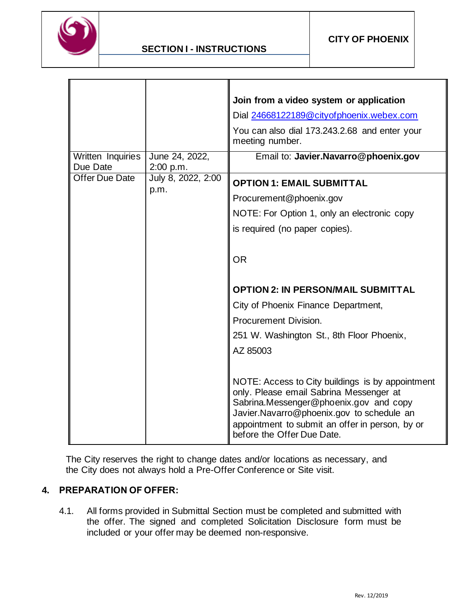

|                               |                             | Join from a video system or application<br>Dial 24668122189@cityofphoenix.webex.com<br>You can also dial 173.243.2.68 and enter your<br>meeting number.                                                                                                                                                                                                                                                                                                                                                                                                                  |
|-------------------------------|-----------------------------|--------------------------------------------------------------------------------------------------------------------------------------------------------------------------------------------------------------------------------------------------------------------------------------------------------------------------------------------------------------------------------------------------------------------------------------------------------------------------------------------------------------------------------------------------------------------------|
| Written Inquiries<br>Due Date | June 24, 2022,<br>2:00 p.m. | Email to: Javier.Navarro@phoenix.gov                                                                                                                                                                                                                                                                                                                                                                                                                                                                                                                                     |
| <b>Offer Due Date</b>         | July 8, 2022, 2:00<br>p.m.  | <b>OPTION 1: EMAIL SUBMITTAL</b><br>Procurement@phoenix.gov<br>NOTE: For Option 1, only an electronic copy<br>is required (no paper copies).<br><b>OR</b><br><b>OPTION 2: IN PERSON/MAIL SUBMITTAL</b><br>City of Phoenix Finance Department,<br>Procurement Division.<br>251 W. Washington St., 8th Floor Phoenix,<br>AZ 85003<br>NOTE: Access to City buildings is by appointment<br>only. Please email Sabrina Messenger at<br>Sabrina.Messenger@phoenix.gov and copy<br>Javier.Navarro@phoenix.gov to schedule an<br>appointment to submit an offer in person, by or |

The City reserves the right to change dates and/or locations as necessary, and the City does not always hold a Pre-Offer Conference or Site visit.

### **4. PREPARATION OF OFFER:**

4.1. All forms provided in Submittal Section must be completed and submitted with the offer. The signed and completed Solicitation Disclosure form must be included or your offer may be deemed non-responsive.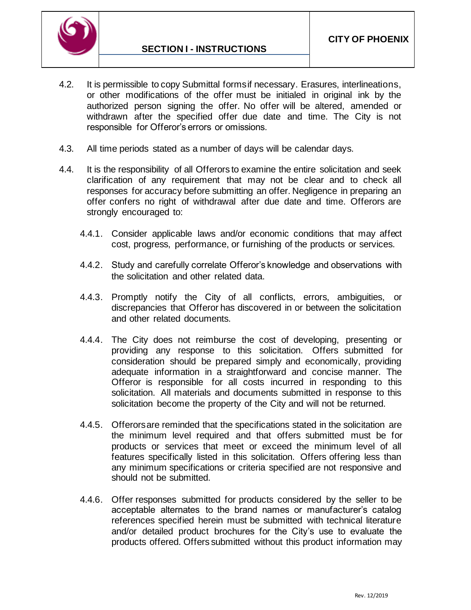

- 4.2. It is permissible to copy Submittal forms if necessary. Erasures, interlineations, or other modifications of the offer must be initialed in original ink by the authorized person signing the offer. No offer will be altered, amended or withdrawn after the specified offer due date and time. The City is not responsible for Offeror's errors or omissions.
- 4.3. All time periods stated as a number of days will be calendar days.
- 4.4. It is the responsibility of all Offerors to examine the entire solicitation and seek clarification of any requirement that may not be clear and to check all responses for accuracy before submitting an offer. Negligence in preparing an offer confers no right of withdrawal after due date and time. Offerors are strongly encouraged to:
	- 4.4.1. Consider applicable laws and/or economic conditions that may affect cost, progress, performance, or furnishing of the products or services.
	- 4.4.2. Study and carefully correlate Offeror's knowledge and observations with the solicitation and other related data.
	- 4.4.3. Promptly notify the City of all conflicts, errors, ambiguities, or discrepancies that Offeror has discovered in or between the solicitation and other related documents.
	- 4.4.4. The City does not reimburse the cost of developing, presenting or providing any response to this solicitation. Offers submitted for consideration should be prepared simply and economically, providing adequate information in a straightforward and concise manner. The Offeror is responsible for all costs incurred in responding to this solicitation. All materials and documents submitted in response to this solicitation become the property of the City and will not be returned.
	- 4.4.5. Offerors are reminded that the specifications stated in the solicitation are the minimum level required and that offers submitted must be for products or services that meet or exceed the minimum level of all features specifically listed in this solicitation. Offers offering less than any minimum specifications or criteria specified are not responsive and should not be submitted.
	- 4.4.6. Offer responses submitted for products considered by the seller to be acceptable alternates to the brand names or manufacturer's catalog references specified herein must be submitted with technical literature and/or detailed product brochures for the City's use to evaluate the products offered. Offers submitted without this product information may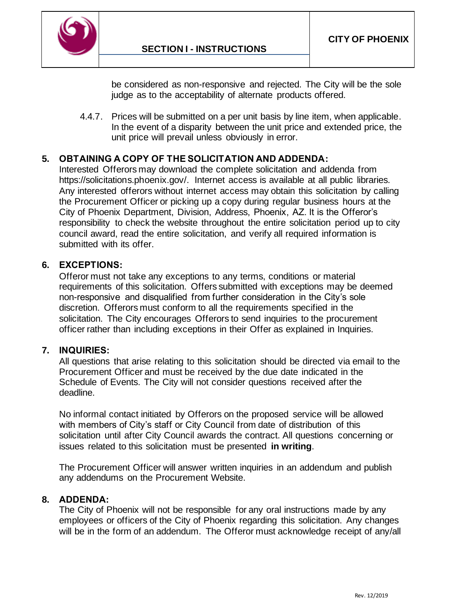

be considered as non-responsive and rejected. The City will be the sole judge as to the acceptability of alternate products offered.

4.4.7. Prices will be submitted on a per unit basis by line item, when applicable. In the event of a disparity between the unit price and extended price, the unit price will prevail unless obviously in error.

### **5. OBTAINING A COPY OF THE SOLICITATION AND ADDENDA:**

Interested Offerors may download the complete solicitation and addenda from [https://solicitations.phoenix.gov/.](https://solicitations.phoenix.gov/) Internet access is available at all public libraries. Any interested offerors without internet access may obtain this solicitation by calling the Procurement Officer or picking up a copy during regular business hours at the City of Phoenix Department, Division, Address, Phoenix, AZ. It is the Offeror's responsibility to check the website throughout the entire solicitation period up to city council award, read the entire solicitation, and verify all required information is submitted with its offer.

#### **6. EXCEPTIONS:**

Offeror must not take any exceptions to any terms, conditions or material requirements of this solicitation. Offers submitted with exceptions may be deemed non-responsive and disqualified from further consideration in the City's sole discretion. Offerors must conform to all the requirements specified in the solicitation. The City encourages Offerors to send inquiries to the procurement officer rather than including exceptions in their Offer as explained in Inquiries.

#### **7. INQUIRIES:**

All questions that arise relating to this solicitation should be directed via email to the Procurement Officer and must be received by the due date indicated in the Schedule of Events. The City will not consider questions received after the deadline.

No informal contact initiated by Offerors on the proposed service will be allowed with members of City's staff or City Council from date of distribution of this solicitation until after City Council awards the contract. All questions concerning or issues related to this solicitation must be presented **in writing**.

The Procurement Officer will answer written inquiries in an addendum and publish any addendums on the Procurement Website.

#### **8. ADDENDA:**

The City of Phoenix will not be responsible for any oral instructions made by any employees or officers of the City of Phoenix regarding this solicitation. Any changes will be in the form of an addendum. The Offeror must acknowledge receipt of any/all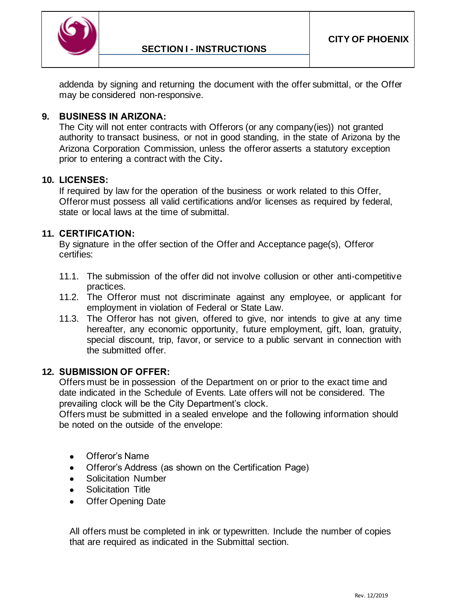

addenda by signing and returning the document with the offer submittal, or the Offer may be considered non-responsive.

### **9. BUSINESS IN ARIZONA:**

The City will not enter contracts with Offerors (or any company(ies)) not granted authority to transact business, or not in good standing, in the state of Arizona by the Arizona Corporation Commission, unless the offeror asserts a statutory exception prior to entering a contract with the City**.**

#### **10. LICENSES:**

If required by law for the operation of the business or work related to this Offer, Offeror must possess all valid certifications and/or licenses as required by federal, state or local laws at the time of submittal.

### **11. CERTIFICATION:**

By signature in the offer section of the Offer and Acceptance page(s), Offeror certifies:

- 11.1. The submission of the offer did not involve collusion or other anti-competitive practices.
- 11.2. The Offeror must not discriminate against any employee, or applicant for employment in violation of Federal or State Law.
- 11.3. The Offeror has not given, offered to give, nor intends to give at any time hereafter, any economic opportunity, future employment, gift, loan, gratuity, special discount, trip, favor, or service to a public servant in connection with the submitted offer.

#### **12. SUBMISSION OF OFFER:**

Offers must be in possession of the Department on or prior to the exact time and date indicated in the Schedule of Events. Late offers will not be considered. The prevailing clock will be the City Department's clock.

Offers must be submitted in a sealed envelope and the following information should be noted on the outside of the envelope:

- Offeror's Name
- Offeror's Address (as shown on the Certification Page)
- Solicitation Number
- Solicitation Title
- Offer Opening Date

All offers must be completed in ink or typewritten. Include the number of copies that are required as indicated in the Submittal section.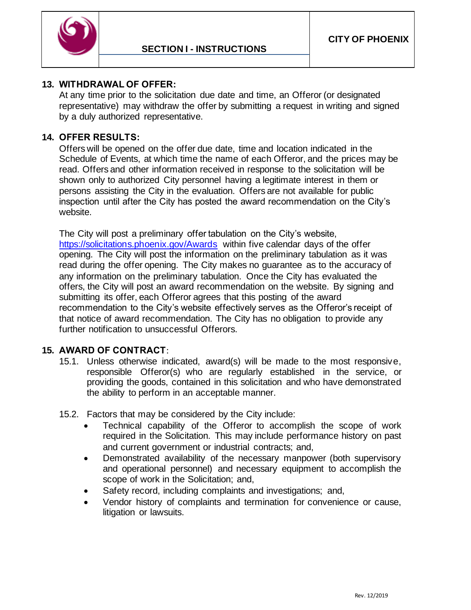

### **13. WITHDRAWAL OF OFFER:**

At any time prior to the solicitation due date and time, an Offeror (or designated representative) may withdraw the offer by submitting a request in writing and signed by a duly authorized representative.

#### **14. OFFER RESULTS:**

Offers will be opened on the offer due date, time and location indicated in the Schedule of Events, at which time the name of each Offeror, and the prices may be read. Offers and other information received in response to the solicitation will be shown only to authorized City personnel having a legitimate interest in them or persons assisting the City in the evaluation. Offers are not available for public inspection until after the City has posted the award recommendation on the City's website.

The City will post a preliminary offer tabulation on the City's website, <https://solicitations.phoenix.gov/Awards> within five calendar days of the offer opening. The City will post the information on the preliminary tabulation as it was read during the offer opening. The City makes no guarantee as to the accuracy of any information on the preliminary tabulation. Once the City has evaluated the offers, the City will post an award recommendation on the website. By signing and submitting its offer, each Offeror agrees that this posting of the award recommendation to the City's website effectively serves as the Offeror's receipt of that notice of award recommendation. The City has no obligation to provide any further notification to unsuccessful Offerors.

#### **15. AWARD OF CONTRACT**:

- 15.1. Unless otherwise indicated, award(s) will be made to the most responsive, responsible Offeror(s) who are regularly established in the service, or providing the goods, contained in this solicitation and who have demonstrated the ability to perform in an acceptable manner.
- 15.2. Factors that may be considered by the City include:
	- Technical capability of the Offeror to accomplish the scope of work required in the Solicitation. This may include performance history on past and current government or industrial contracts; and,
	- Demonstrated availability of the necessary manpower (both supervisory and operational personnel) and necessary equipment to accomplish the scope of work in the Solicitation; and,
	- Safety record, including complaints and investigations; and,
	- Vendor history of complaints and termination for convenience or cause, litigation or lawsuits.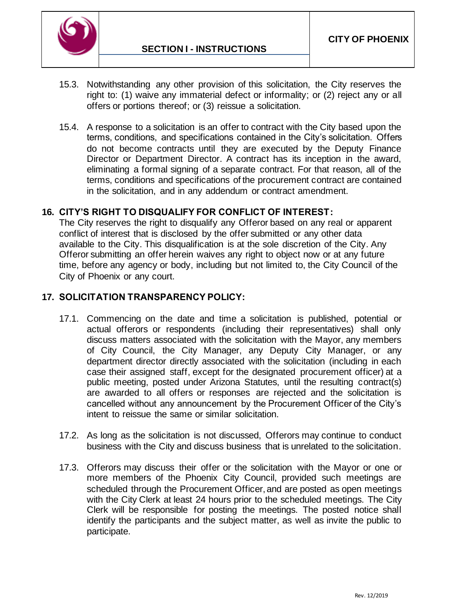

- 15.3. Notwithstanding any other provision of this solicitation, the City reserves the right to: (1) waive any immaterial defect or informality; or (2) reject any or all offers or portions thereof; or (3) reissue a solicitation.
- 15.4. A response to a solicitation is an offer to contract with the City based upon the terms, conditions, and specifications contained in the City's solicitation. Offers do not become contracts until they are executed by the Deputy Finance Director or Department Director. A contract has its inception in the award, eliminating a formal signing of a separate contract. For that reason, all of the terms, conditions and specifications of the procurement contract are contained in the solicitation, and in any addendum or contract amendment.

#### **16. CITY'S RIGHT TO DISQUALIFY FOR CONFLICT OF INTEREST:**

The City reserves the right to disqualify any Offeror based on any real or apparent conflict of interest that is disclosed by the offer submitted or any other data available to the City. This disqualification is at the sole discretion of the City. Any Offeror submitting an offer herein waives any right to object now or at any future time, before any agency or body, including but not limited to, the City Council of the City of Phoenix or any court.

#### **17. SOLICITATION TRANSPARENCY POLICY:**

- 17.1. Commencing on the date and time a solicitation is published, potential or actual offerors or respondents (including their representatives) shall only discuss matters associated with the solicitation with the Mayor, any members of City Council, the City Manager, any Deputy City Manager, or any department director directly associated with the solicitation (including in each case their assigned staff, except for the designated procurement officer) at a public meeting, posted under Arizona Statutes, until the resulting contract(s) are awarded to all offers or responses are rejected and the solicitation is cancelled without any announcement by the Procurement Officer of the City's intent to reissue the same or similar solicitation.
- 17.2. As long as the solicitation is not discussed, Offerors may continue to conduct business with the City and discuss business that is unrelated to the solicitation.
- 17.3. Offerors may discuss their offer or the solicitation with the Mayor or one or more members of the Phoenix City Council, provided such meetings are scheduled through the Procurement Officer, and are posted as open meetings with the City Clerk at least 24 hours prior to the scheduled meetings. The City Clerk will be responsible for posting the meetings. The posted notice shall identify the participants and the subject matter, as well as invite the public to participate.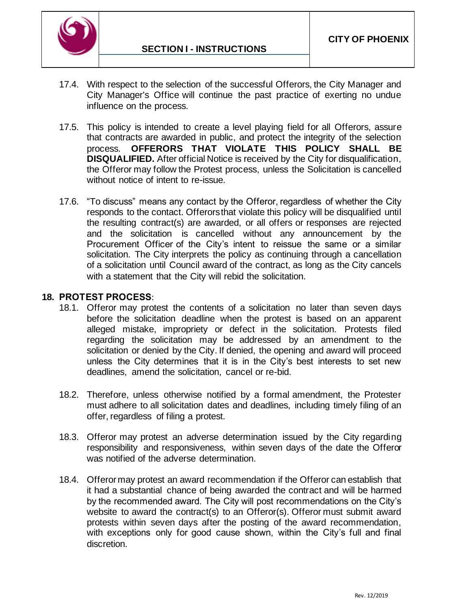

- 17.4. With respect to the selection of the successful Offerors, the City Manager and City Manager's Office will continue the past practice of exerting no undue influence on the process.
- 17.5. This policy is intended to create a level playing field for all Offerors, assure that contracts are awarded in public, and protect the integrity of the selection process. **OFFERORS THAT VIOLATE THIS POLICY SHALL BE DISQUALIFIED.** After official Notice is received by the City for disqualification, the Offeror may follow the Protest process, unless the Solicitation is cancelled without notice of intent to re-issue.
- 17.6. "To discuss" means any contact by the Offeror, regardless of whether the City responds to the contact. Offerors that violate this policy will be disqualified until the resulting contract(s) are awarded, or all offers or responses are rejected and the solicitation is cancelled without any announcement by the Procurement Officer of the City's intent to reissue the same or a similar solicitation. The City interprets the policy as continuing through a cancellation of a solicitation until Council award of the contract, as long as the City cancels with a statement that the City will rebid the solicitation.

### **18. PROTEST PROCESS**:

- 18.1. Offeror may protest the contents of a solicitation no later than seven days before the solicitation deadline when the protest is based on an apparent alleged mistake, impropriety or defect in the solicitation. Protests filed regarding the solicitation may be addressed by an amendment to the solicitation or denied by the City. If denied, the opening and award will proceed unless the City determines that it is in the City's best interests to set new deadlines, amend the solicitation, cancel or re-bid.
- 18.2. Therefore, unless otherwise notified by a formal amendment, the Protester must adhere to all solicitation dates and deadlines, including timely filing of an offer, regardless of filing a protest.
- 18.3. Offeror may protest an adverse determination issued by the City regarding responsibility and responsiveness, within seven days of the date the Offeror was notified of the adverse determination.
- 18.4. Offerormay protest an award recommendation if the Offeror can establish that it had a substantial chance of being awarded the contract and will be harmed by the recommended award. The City will post recommendations on the City's website to award the contract(s) to an Offeror(s). Offeror must submit award protests within seven days after the posting of the award recommendation, with exceptions only for good cause shown, within the City's full and final discretion.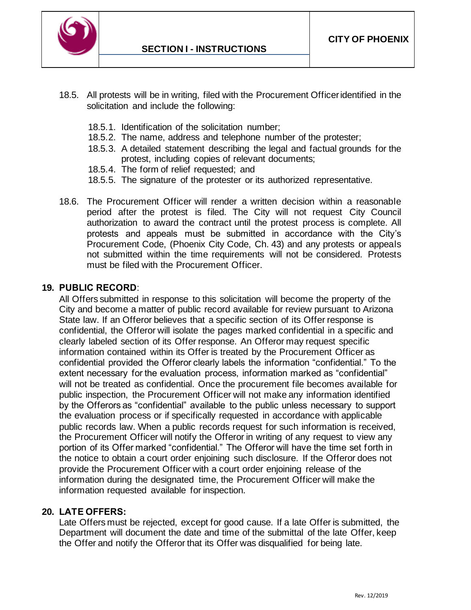

- 18.5. All protests will be in writing, filed with the Procurement Officer identified in the solicitation and include the following:
	- 18.5.1. Identification of the solicitation number;
	- 18.5.2. The name, address and telephone number of the protester;
	- 18.5.3. A detailed statement describing the legal and factual grounds for the protest, including copies of relevant documents;
	- 18.5.4. The form of relief requested; and
	- 18.5.5. The signature of the protester or its authorized representative.
- 18.6. The Procurement Officer will render a written decision within a reasonable period after the protest is filed. The City will not request City Council authorization to award the contract until the protest process is complete. All protests and appeals must be submitted in accordance with the City's Procurement Code, (Phoenix City Code, Ch. 43) and any protests or appeals not submitted within the time requirements will not be considered. Protests must be filed with the Procurement Officer.

### **19. PUBLIC RECORD**:

All Offers submitted in response to this solicitation will become the property of the City and become a matter of public record available for review pursuant to Arizona State law. If an Offeror believes that a specific section of its Offer response is confidential, the Offeror will isolate the pages marked confidential in a specific and clearly labeled section of its Offer response. An Offeror may request specific information contained within its Offer is treated by the Procurement Officer as confidential provided the Offeror clearly labels the information "confidential." To the extent necessary for the evaluation process, information marked as "confidential" will not be treated as confidential. Once the procurement file becomes available for public inspection, the Procurement Officer will not make any information identified by the Offerors as "confidential" available to the public unless necessary to support the evaluation process or if specifically requested in accordance with applicable public records law. When a public records request for such information is received, the Procurement Officer will notify the Offeror in writing of any request to view any portion of its Offer marked "confidential." The Offeror will have the time set forth in the notice to obtain a court order enjoining such disclosure. If the Offeror does not provide the Procurement Officer with a court order enjoining release of the information during the designated time, the Procurement Officer will make the information requested available for inspection.

### **20. LATE OFFERS:**

Late Offers must be rejected, except for good cause. If a late Offer is submitted, the Department will document the date and time of the submittal of the late Offer, keep the Offer and notify the Offeror that its Offer was disqualified for being late.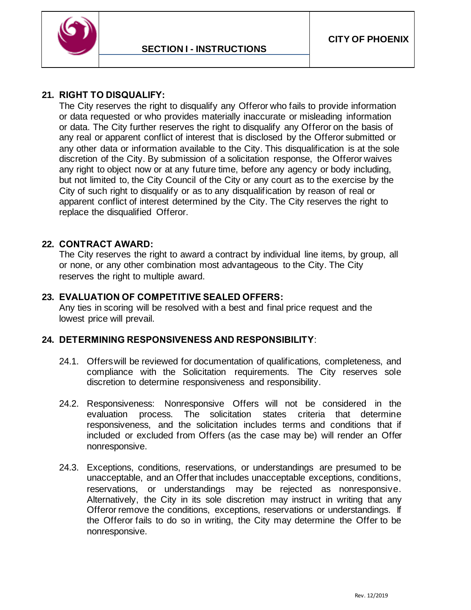

### **21. RIGHT TO DISQUALIFY:**

The City reserves the right to disqualify any Offeror who fails to provide information or data requested or who provides materially inaccurate or misleading information or data. The City further reserves the right to disqualify any Offeror on the basis of any real or apparent conflict of interest that is disclosed by the Offeror submitted or any other data or information available to the City. This disqualification is at the sole discretion of the City. By submission of a solicitation response, the Offeror waives any right to object now or at any future time, before any agency or body including, but not limited to, the City Council of the City or any court as to the exercise by the City of such right to disqualify or as to any disqualification by reason of real or apparent conflict of interest determined by the City. The City reserves the right to replace the disqualified Offeror.

#### **22. CONTRACT AWARD:**

The City reserves the right to award a contract by individual line items, by group, all or none, or any other combination most advantageous to the City. The City reserves the right to multiple award.

### **23. EVALUATION OF COMPETITIVE SEALED OFFERS:**

Any ties in scoring will be resolved with a best and final price request and the lowest price will prevail.

### **24. DETERMINING RESPONSIVENESS AND RESPONSIBILITY**:

- 24.1. Offerswill be reviewed for documentation of qualifications, completeness, and compliance with the Solicitation requirements. The City reserves sole discretion to determine responsiveness and responsibility.
- 24.2. Responsiveness: Nonresponsive Offers will not be considered in the evaluation process. The solicitation states criteria that determine responsiveness, and the solicitation includes terms and conditions that if included or excluded from Offers (as the case may be) will render an Offer nonresponsive.
- 24.3. Exceptions, conditions, reservations, or understandings are presumed to be unacceptable, and an Offer that includes unacceptable exceptions, conditions, reservations, or understandings may be rejected as nonresponsive. Alternatively, the City in its sole discretion may instruct in writing that any Offeror remove the conditions, exceptions, reservations or understandings. If the Offeror fails to do so in writing, the City may determine the Offer to be nonresponsive.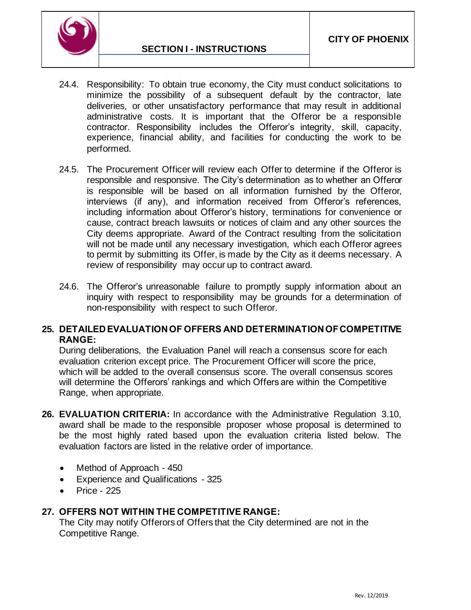

- 24.4. Responsibility: To obtain true economy, the City must conduct solicitations to minimize the possibility of a subsequent default by the contractor, late deliveries, or other unsatisfactory performance that may result in additional administrative costs. It is important that the Offeror be a responsible contractor. Responsibility includes the Offeror's integrity, skill, capacity, experience, financial ability, and facilities for conducting the work to be performed.
- 24.5. The Procurement Officer will review each Offer to determine if the Offeror is responsible and responsive. The City's determination as to whether an Offeror is responsible will be based on all information furnished by the Offeror, interviews (if any), and information received from Offeror's references, including information about Offeror's history, terminations for convenience or cause, contract breach lawsuits or notices of claim and any other sources the City deems appropriate. Award of the Contract resulting from the solicitation will not be made until any necessary investigation, which each Offeror agrees to permit by submitting its Offer, is made by the City as it deems necessary. A review of responsibility may occur up to contract award.
- 24.6. The Offeror's unreasonable failure to promptly supply information about an inquiry with respect to responsibility may be grounds for a determination of non-responsibility with respect to such Offeror.

### **25. DETAILED EVALUATION OF OFFERS AND DETERMINATION OF COMPETITIVE RANGE:**

During deliberations, the Evaluation Panel will reach a consensus score for each evaluation criterion except price. The Procurement Officer will score the price, which will be added to the overall consensus score. The overall consensus scores will determine the Offerors' rankings and which Offers are within the Competitive Range, when appropriate.

- **26. EVALUATION CRITERIA:** In accordance with the Administrative Regulation 3.10, award shall be made to the responsible proposer whose proposal is determined to be the most highly rated based upon the evaluation criteria listed below. The evaluation factors are listed in the relative order of importance.
	- Method of Approach 450
	- Experience and Qualifications 325
	- Price 225

### **27. OFFERS NOT WITHIN THE COMPETITIVE RANGE:**

The City may notify Offerors of Offers that the City determined are not in the Competitive Range.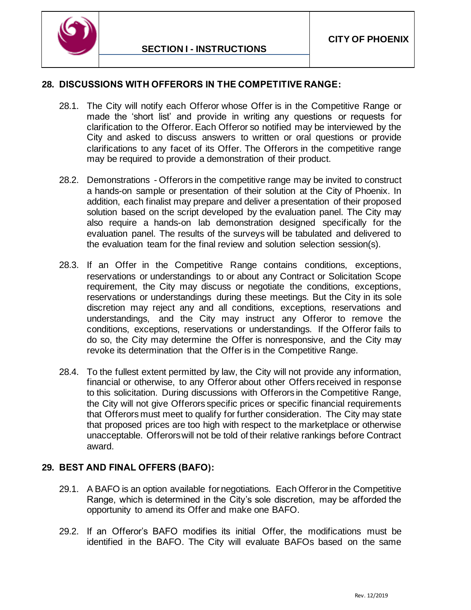

#### **28. DISCUSSIONS WITH OFFERORS IN THE COMPETITIVE RANGE:**

- 28.1. The City will notify each Offeror whose Offer is in the Competitive Range or made the 'short list' and provide in writing any questions or requests for clarification to the Offeror. Each Offeror so notified may be interviewed by the City and asked to discuss answers to written or oral questions or provide clarifications to any facet of its Offer. The Offerors in the competitive range may be required to provide a demonstration of their product.
- 28.2. Demonstrations Offerors in the competitive range may be invited to construct a hands-on sample or presentation of their solution at the City of Phoenix. In addition, each finalist may prepare and deliver a presentation of their proposed solution based on the script developed by the evaluation panel. The City may also require a hands-on lab demonstration designed specifically for the evaluation panel. The results of the surveys will be tabulated and delivered to the evaluation team for the final review and solution selection session(s).
- 28.3. If an Offer in the Competitive Range contains conditions, exceptions, reservations or understandings to or about any Contract or Solicitation Scope requirement, the City may discuss or negotiate the conditions, exceptions, reservations or understandings during these meetings. But the City in its sole discretion may reject any and all conditions, exceptions, reservations and understandings, and the City may instruct any Offeror to remove the conditions, exceptions, reservations or understandings. If the Offeror fails to do so, the City may determine the Offer is nonresponsive, and the City may revoke its determination that the Offer is in the Competitive Range.
- 28.4. To the fullest extent permitted by law, the City will not provide any information, financial or otherwise, to any Offeror about other Offers received in response to this solicitation. During discussions with Offerors in the Competitive Range, the City will not give Offerors specific prices or specific financial requirements that Offerors must meet to qualify for further consideration. The City may state that proposed prices are too high with respect to the marketplace or otherwise unacceptable. Offerors will not be told of their relative rankings before Contract award.

### **29. BEST AND FINAL OFFERS (BAFO):**

- 29.1. A BAFO is an option available for negotiations. Each Offeror in the Competitive Range, which is determined in the City's sole discretion, may be afforded the opportunity to amend its Offer and make one BAFO.
- 29.2. If an Offeror's BAFO modifies its initial Offer, the modifications must be identified in the BAFO. The City will evaluate BAFOs based on the same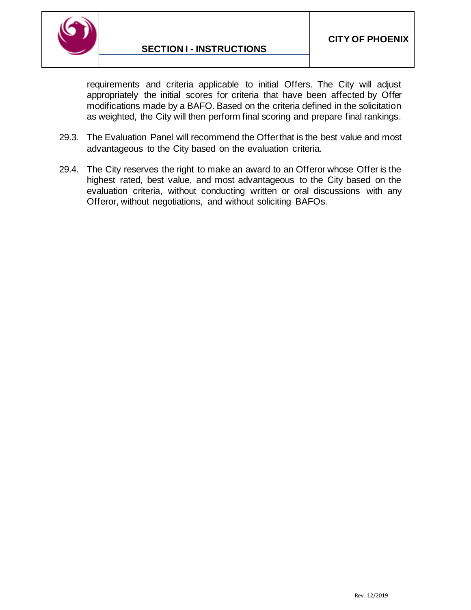

requirements and criteria applicable to initial Offers. The City will adjust appropriately the initial scores for criteria that have been affected by Offer modifications made by a BAFO. Based on the criteria defined in the solicitation as weighted, the City will then perform final scoring and prepare final rankings.

- 29.3. The Evaluation Panel will recommend the Offer that is the best value and most advantageous to the City based on the evaluation criteria.
- 29.4. The City reserves the right to make an award to an Offeror whose Offer is the highest rated, best value, and most advantageous to the City based on the evaluation criteria, without conducting written or oral discussions with any Offeror, without negotiations, and without soliciting BAFOs.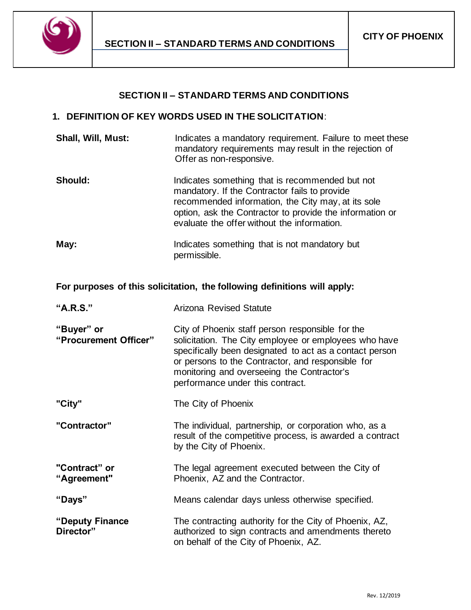

#### **SECTION II – STANDARD TERMS AND CONDITIONS**

#### <span id="page-16-0"></span>**1. DEFINITION OF KEY WORDS USED IN THE SOLICITATION**:

| <b>Shall, Will, Must:</b> | Indicates a mandatory requirement. Failure to meet these                          |
|---------------------------|-----------------------------------------------------------------------------------|
|                           | mandatory requirements may result in the rejection of<br>Offer as non-responsive. |
|                           |                                                                                   |

- **Should:** Indicates something that is recommended but not mandatory. If the Contractor fails to provide recommended information, the City may, at its sole option, ask the Contractor to provide the information or evaluate the offer without the information.
- **May:** Indicates something that is not mandatory but permissible.

#### **For purposes of this solicitation, the following definitions will apply:**

| "A.R.S."                            | <b>Arizona Revised Statute</b>                                                                                                                                                                                                                                                                              |  |
|-------------------------------------|-------------------------------------------------------------------------------------------------------------------------------------------------------------------------------------------------------------------------------------------------------------------------------------------------------------|--|
| "Buyer" or<br>"Procurement Officer" | City of Phoenix staff person responsible for the<br>solicitation. The City employee or employees who have<br>specifically been designated to act as a contact person<br>or persons to the Contractor, and responsible for<br>monitoring and overseeing the Contractor's<br>performance under this contract. |  |
| "City"                              | The City of Phoenix                                                                                                                                                                                                                                                                                         |  |
| "Contractor"                        | The individual, partnership, or corporation who, as a<br>result of the competitive process, is awarded a contract<br>by the City of Phoenix.                                                                                                                                                                |  |
| "Contract" or<br>"Agreement"        | The legal agreement executed between the City of<br>Phoenix, AZ and the Contractor.                                                                                                                                                                                                                         |  |
| "Days"                              | Means calendar days unless otherwise specified.                                                                                                                                                                                                                                                             |  |
| "Deputy Finance<br>Director"        | The contracting authority for the City of Phoenix, AZ,<br>authorized to sign contracts and amendments thereto<br>on behalf of the City of Phoenix, AZ.                                                                                                                                                      |  |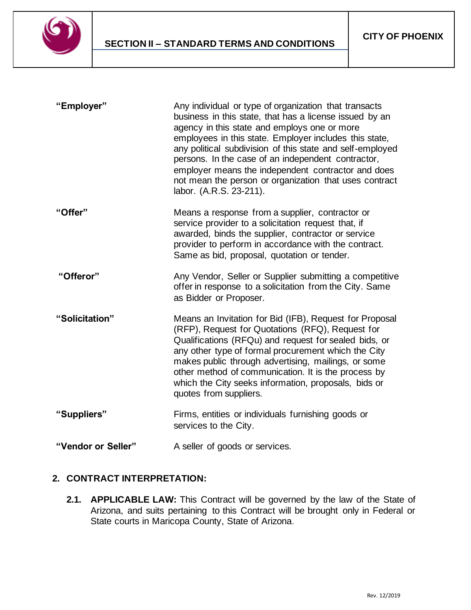

| "Employer"         | Any individual or type of organization that transacts<br>business in this state, that has a license issued by an<br>agency in this state and employs one or more<br>employees in this state. Employer includes this state,<br>any political subdivision of this state and self-employed<br>persons. In the case of an independent contractor,<br>employer means the independent contractor and does<br>not mean the person or organization that uses contract<br>labor. (A.R.S. 23-211). |
|--------------------|------------------------------------------------------------------------------------------------------------------------------------------------------------------------------------------------------------------------------------------------------------------------------------------------------------------------------------------------------------------------------------------------------------------------------------------------------------------------------------------|
| "Offer"            | Means a response from a supplier, contractor or<br>service provider to a solicitation request that, if<br>awarded, binds the supplier, contractor or service<br>provider to perform in accordance with the contract.<br>Same as bid, proposal, quotation or tender.                                                                                                                                                                                                                      |
| "Offeror"          | Any Vendor, Seller or Supplier submitting a competitive<br>offer in response to a solicitation from the City. Same<br>as Bidder or Proposer.                                                                                                                                                                                                                                                                                                                                             |
| "Solicitation"     | Means an Invitation for Bid (IFB), Request for Proposal<br>(RFP), Request for Quotations (RFQ), Request for<br>Qualifications (RFQu) and request for sealed bids, or<br>any other type of formal procurement which the City<br>makes public through advertising, mailings, or some<br>other method of communication. It is the process by<br>which the City seeks information, proposals, bids or<br>quotes from suppliers.                                                              |
| "Suppliers"        | Firms, entities or individuals furnishing goods or<br>services to the City.                                                                                                                                                                                                                                                                                                                                                                                                              |
| "Vendor or Seller" | A seller of goods or services.                                                                                                                                                                                                                                                                                                                                                                                                                                                           |

# **2. CONTRACT INTERPRETATION:**

**2.1. APPLICABLE LAW:** This Contract will be governed by the law of the State of Arizona, and suits pertaining to this Contract will be brought only in Federal or State courts in Maricopa County, State of Arizona.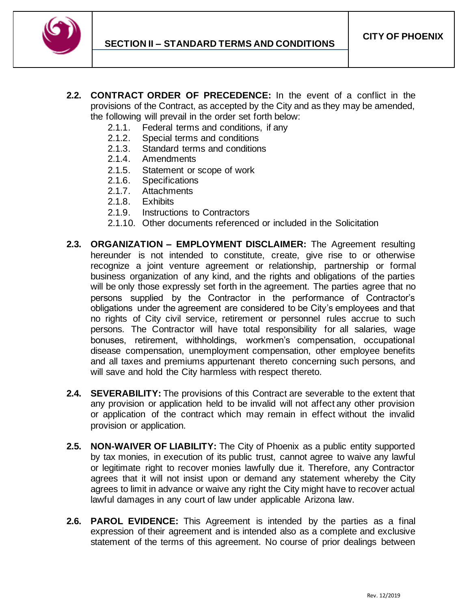

- **2.2. CONTRACT ORDER OF PRECEDENCE:** In the event of a conflict in the provisions of the Contract, as accepted by the City and as they may be amended, the following will prevail in the order set forth below:
	- 2.1.1. Federal terms and conditions, if any
	- 2.1.2. Special terms and conditions
	- 2.1.3. Standard terms and conditions
	- 2.1.4. Amendments
	- 2.1.5. Statement or scope of work
	- 2.1.6. Specifications
	- 2.1.7. Attachments
	- 2.1.8. Exhibits
	- 2.1.9. Instructions to Contractors
	- 2.1.10. Other documents referenced or included in the Solicitation
- **2.3. ORGANIZATION – EMPLOYMENT DISCLAIMER:** The Agreement resulting hereunder is not intended to constitute, create, give rise to or otherwise recognize a joint venture agreement or relationship, partnership or formal business organization of any kind, and the rights and obligations of the parties will be only those expressly set forth in the agreement. The parties agree that no persons supplied by the Contractor in the performance of Contractor's obligations under the agreement are considered to be City's employees and that no rights of City civil service, retirement or personnel rules accrue to such persons. The Contractor will have total responsibility for all salaries, wage bonuses, retirement, withholdings, workmen's compensation, occupational disease compensation, unemployment compensation, other employee benefits and all taxes and premiums appurtenant thereto concerning such persons, and will save and hold the City harmless with respect thereto.
- **2.4. SEVERABILITY:** The provisions of this Contract are severable to the extent that any provision or application held to be invalid will not affect any other provision or application of the contract which may remain in effect without the invalid provision or application.
- **2.5. NON-WAIVER OF LIABILITY:** The City of Phoenix as a public entity supported by tax monies, in execution of its public trust, cannot agree to waive any lawful or legitimate right to recover monies lawfully due it. Therefore, any Contractor agrees that it will not insist upon or demand any statement whereby the City agrees to limit in advance or waive any right the City might have to recover actual lawful damages in any court of law under applicable Arizona law.
- **2.6. PAROL EVIDENCE:** This Agreement is intended by the parties as a final expression of their agreement and is intended also as a complete and exclusive statement of the terms of this agreement. No course of prior dealings between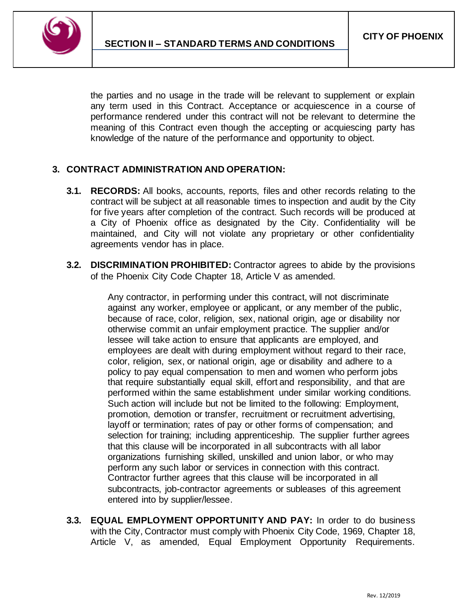

the parties and no usage in the trade will be relevant to supplement or explain any term used in this Contract. Acceptance or acquiescence in a course of performance rendered under this contract will not be relevant to determine the meaning of this Contract even though the accepting or acquiescing party has knowledge of the nature of the performance and opportunity to object.

# **3. CONTRACT ADMINISTRATION AND OPERATION:**

- **3.1. RECORDS:** All books, accounts, reports, files and other records relating to the contract will be subject at all reasonable times to inspection and audit by the City for five years after completion of the contract. Such records will be produced at a City of Phoenix office as designated by the City. Confidentiality will be maintained, and City will not violate any proprietary or other confidentiality agreements vendor has in place.
- **3.2. DISCRIMINATION PROHIBITED:** Contractor agrees to abide by the provisions of the Phoenix City Code Chapter 18, Article V as amended.

Any contractor, in performing under this contract, will not discriminate against any worker, employee or applicant, or any member of the public, because of race, color, religion, sex, national origin, age or disability nor otherwise commit an unfair employment practice. The supplier and/or lessee will take action to ensure that applicants are employed, and employees are dealt with during employment without regard to their race, color, religion, sex, or national origin, age or disability and adhere to a policy to pay equal compensation to men and women who perform jobs that require substantially equal skill, effort and responsibility, and that are performed within the same establishment under similar working conditions. Such action will include but not be limited to the following: Employment, promotion, demotion or transfer, recruitment or recruitment advertising, layoff or termination; rates of pay or other forms of compensation; and selection for training; including apprenticeship. The supplier further agrees that this clause will be incorporated in all subcontracts with all labor organizations furnishing skilled, unskilled and union labor, or who may perform any such labor or services in connection with this contract. Contractor further agrees that this clause will be incorporated in all subcontracts, job-contractor agreements or subleases of this agreement entered into by supplier/lessee.

**3.3. EQUAL EMPLOYMENT OPPORTUNITY AND PAY:** In order to do business with the City, Contractor must comply with Phoenix City Code, 1969, Chapter 18, Article V, as amended, Equal Employment Opportunity Requirements.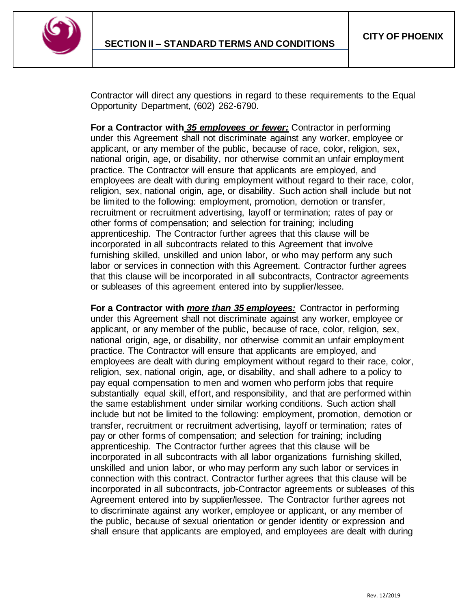

Contractor will direct any questions in regard to these requirements to the Equal Opportunity Department, (602) 262-6790.

**For a Contractor with** *35 employees or fewer:* Contractor in performing under this Agreement shall not discriminate against any worker, employee or applicant, or any member of the public, because of race, color, religion, sex, national origin, age, or disability, nor otherwise commit an unfair employment practice. The Contractor will ensure that applicants are employed, and employees are dealt with during employment without regard to their race, color, religion, sex, national origin, age, or disability. Such action shall include but not be limited to the following: employment, promotion, demotion or transfer, recruitment or recruitment advertising, layoff or termination; rates of pay or other forms of compensation; and selection for training; including apprenticeship. The Contractor further agrees that this clause will be incorporated in all subcontracts related to this Agreement that involve furnishing skilled, unskilled and union labor, or who may perform any such labor or services in connection with this Agreement. Contractor further agrees that this clause will be incorporated in all subcontracts, Contractor agreements or subleases of this agreement entered into by supplier/lessee.

**For a Contractor with** *more than 35 employees:* Contractor in performing under this Agreement shall not discriminate against any worker, employee or applicant, or any member of the public, because of race, color, religion, sex, national origin, age, or disability, nor otherwise commit an unfair employment practice. The Contractor will ensure that applicants are employed, and employees are dealt with during employment without regard to their race, color, religion, sex, national origin, age, or disability, and shall adhere to a policy to pay equal compensation to men and women who perform jobs that require substantially equal skill, effort, and responsibility, and that are performed within the same establishment under similar working conditions. Such action shall include but not be limited to the following: employment, promotion, demotion or transfer, recruitment or recruitment advertising, layoff or termination; rates of pay or other forms of compensation; and selection for training; including apprenticeship. The Contractor further agrees that this clause will be incorporated in all subcontracts with all labor organizations furnishing skilled, unskilled and union labor, or who may perform any such labor or services in connection with this contract. Contractor further agrees that this clause will be incorporated in all subcontracts, job-Contractor agreements or subleases of this Agreement entered into by supplier/lessee. The Contractor further agrees not to discriminate against any worker, employee or applicant, or any member of the public, because of sexual orientation or gender identity or expression and shall ensure that applicants are employed, and employees are dealt with during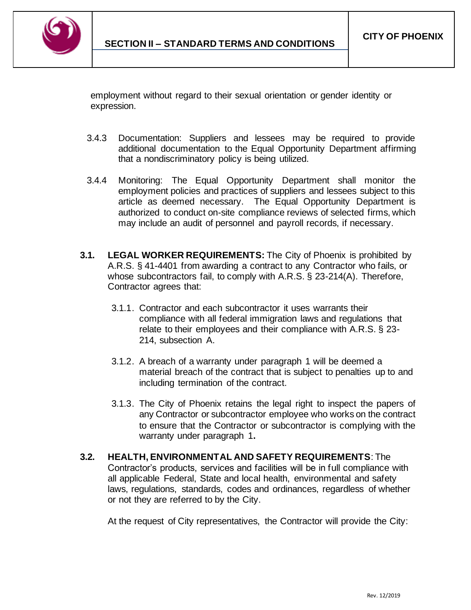

employment without regard to their sexual orientation or gender identity or expression.

- 3.4.3 Documentation: Suppliers and lessees may be required to provide additional documentation to the Equal Opportunity Department affirming that a nondiscriminatory policy is being utilized.
- 3.4.4 Monitoring: The Equal Opportunity Department shall monitor the employment policies and practices of suppliers and lessees subject to this article as deemed necessary. The Equal Opportunity Department is authorized to conduct on-site compliance reviews of selected firms, which may include an audit of personnel and payroll records, if necessary.
- **3.1. LEGAL WORKER REQUIREMENTS:** The City of Phoenix is prohibited by A.R.S. § 41-4401 from awarding a contract to any Contractor who fails, or whose subcontractors fail, to comply with A.R.S. § 23-214(A). Therefore, Contractor agrees that:
	- 3.1.1. Contractor and each subcontractor it uses warrants their compliance with all federal immigration laws and regulations that relate to their employees and their compliance with A.R.S. § 23- 214, subsection A.
	- 3.1.2. A breach of a warranty under paragraph 1 will be deemed a material breach of the contract that is subject to penalties up to and including termination of the contract.
	- 3.1.3. The City of Phoenix retains the legal right to inspect the papers of any Contractor or subcontractor employee who works on the contract to ensure that the Contractor or subcontractor is complying with the warranty under paragraph 1**.**
- **3.2. HEALTH, ENVIRONMENTAL AND SAFETY REQUIREMENTS**: The Contractor's products, services and facilities will be in full compliance with all applicable Federal, State and local health, environmental and safety laws, regulations, standards, codes and ordinances, regardless of whether or not they are referred to by the City.

At the request of City representatives, the Contractor will provide the City: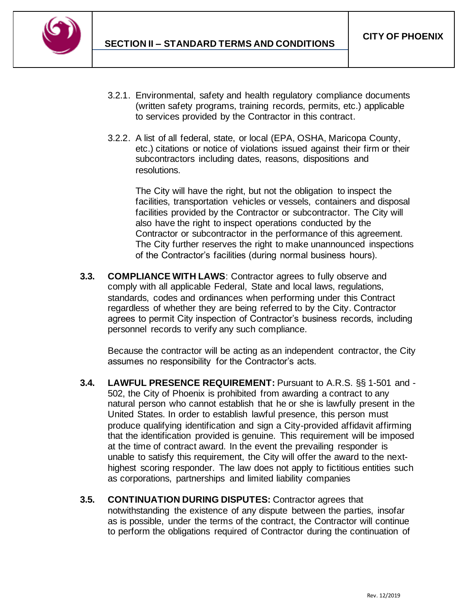

- 3.2.1. Environmental, safety and health regulatory compliance documents (written safety programs, training records, permits, etc.) applicable to services provided by the Contractor in this contract.
- 3.2.2. A list of all federal, state, or local (EPA, OSHA, Maricopa County, etc.) citations or notice of violations issued against their firm or their subcontractors including dates, reasons, dispositions and resolutions.

The City will have the right, but not the obligation to inspect the facilities, transportation vehicles or vessels, containers and disposal facilities provided by the Contractor or subcontractor. The City will also have the right to inspect operations conducted by the Contractor or subcontractor in the performance of this agreement. The City further reserves the right to make unannounced inspections of the Contractor's facilities (during normal business hours).

**3.3. COMPLIANCE WITH LAWS**: Contractor agrees to fully observe and comply with all applicable Federal, State and local laws, regulations, standards, codes and ordinances when performing under this Contract regardless of whether they are being referred to by the City. Contractor agrees to permit City inspection of Contractor's business records, including personnel records to verify any such compliance.

Because the contractor will be acting as an independent contractor, the City assumes no responsibility for the Contractor's acts.

- **3.4. LAWFUL PRESENCE REQUIREMENT:** Pursuant to A.R.S. §§ 1-501 and 502, the City of Phoenix is prohibited from awarding a contract to any natural person who cannot establish that he or she is lawfully present in the United States. In order to establish lawful presence, this person must produce qualifying identification and sign a City-provided affidavit affirming that the identification provided is genuine. This requirement will be imposed at the time of contract award. In the event the prevailing responder is unable to satisfy this requirement, the City will offer the award to the nexthighest scoring responder. The law does not apply to fictitious entities such as corporations, partnerships and limited liability companies
- **3.5. CONTINUATION DURING DISPUTES:** Contractor agrees that notwithstanding the existence of any dispute between the parties, insofar as is possible, under the terms of the contract, the Contractor will continue to perform the obligations required of Contractor during the continuation of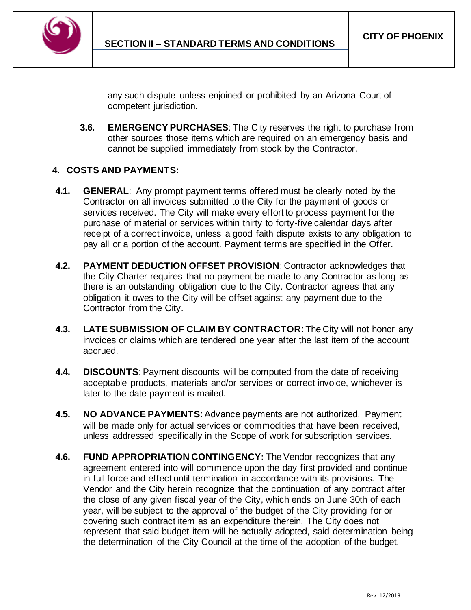

any such dispute unless enjoined or prohibited by an Arizona Court of competent jurisdiction.

**3.6. EMERGENCY PURCHASES**: The City reserves the right to purchase from other sources those items which are required on an emergency basis and cannot be supplied immediately from stock by the Contractor.

### **4. COSTS AND PAYMENTS:**

- **4.1. GENERAL**: Any prompt payment terms offered must be clearly noted by the Contractor on all invoices submitted to the City for the payment of goods or services received. The City will make every effort to process payment for the purchase of material or services within thirty to forty-five calendar days after receipt of a correct invoice, unless a good faith dispute exists to any obligation to pay all or a portion of the account. Payment terms are specified in the Offer.
- **4.2. PAYMENT DEDUCTION OFFSET PROVISION**: Contractor acknowledges that the City Charter requires that no payment be made to any Contractor as long as there is an outstanding obligation due to the City. Contractor agrees that any obligation it owes to the City will be offset against any payment due to the Contractor from the City.
- **4.3. LATE SUBMISSION OF CLAIM BY CONTRACTOR**: The City will not honor any invoices or claims which are tendered one year after the last item of the account accrued.
- **4.4. DISCOUNTS**: Payment discounts will be computed from the date of receiving acceptable products, materials and/or services or correct invoice, whichever is later to the date payment is mailed.
- **4.5. NO ADVANCE PAYMENTS**: Advance payments are not authorized. Payment will be made only for actual services or commodities that have been received, unless addressed specifically in the Scope of work for subscription services.
- **4.6. FUND APPROPRIATION CONTINGENCY:** The Vendor recognizes that any agreement entered into will commence upon the day first provided and continue in full force and effect until termination in accordance with its provisions. The Vendor and the City herein recognize that the continuation of any contract after the close of any given fiscal year of the City, which ends on June 30th of each year, will be subject to the approval of the budget of the City providing for or covering such contract item as an expenditure therein. The City does not represent that said budget item will be actually adopted, said determination being the determination of the City Council at the time of the adoption of the budget.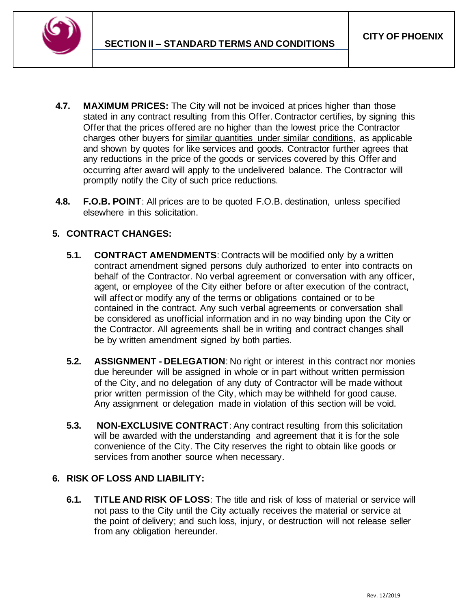

- **4.7. MAXIMUM PRICES:** The City will not be invoiced at prices higher than those stated in any contract resulting from this Offer. Contractor certifies, by signing this Offer that the prices offered are no higher than the lowest price the Contractor charges other buyers for similar quantities under similar conditions, as applicable and shown by quotes for like services and goods. Contractor further agrees that any reductions in the price of the goods or services covered by this Offer and occurring after award will apply to the undelivered balance. The Contractor will promptly notify the City of such price reductions.
- **4.8. F.O.B. POINT**: All prices are to be quoted F.O.B. destination, unless specified elsewhere in this solicitation.

# **5. CONTRACT CHANGES:**

- **5.1. CONTRACT AMENDMENTS**: Contracts will be modified only by a written contract amendment signed persons duly authorized to enter into contracts on behalf of the Contractor. No verbal agreement or conversation with any officer, agent, or employee of the City either before or after execution of the contract, will affect or modify any of the terms or obligations contained or to be contained in the contract. Any such verbal agreements or conversation shall be considered as unofficial information and in no way binding upon the City or the Contractor. All agreements shall be in writing and contract changes shall be by written amendment signed by both parties.
- **5.2. ASSIGNMENT - DELEGATION**: No right or interest in this contract nor monies due hereunder will be assigned in whole or in part without written permission of the City, and no delegation of any duty of Contractor will be made without prior written permission of the City, which may be withheld for good cause. Any assignment or delegation made in violation of this section will be void.
- **5.3. NON-EXCLUSIVE CONTRACT**: Any contract resulting from this solicitation will be awarded with the understanding and agreement that it is for the sole convenience of the City. The City reserves the right to obtain like goods or services from another source when necessary.

# **6. RISK OF LOSS AND LIABILITY:**

**6.1. TITLE AND RISK OF LOSS**: The title and risk of loss of material or service will not pass to the City until the City actually receives the material or service at the point of delivery; and such loss, injury, or destruction will not release seller from any obligation hereunder.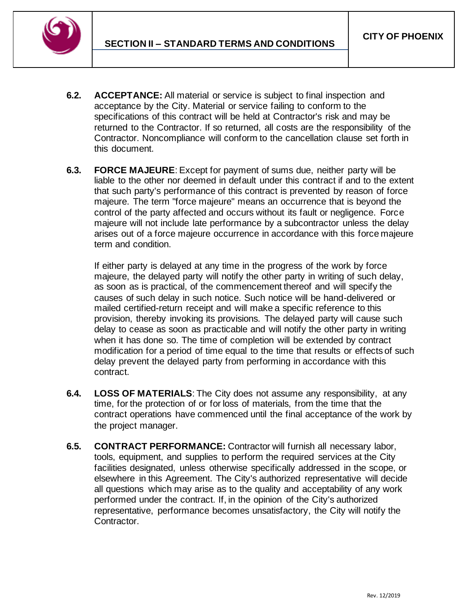

- **6.2. ACCEPTANCE:** All material or service is subject to final inspection and acceptance by the City. Material or service failing to conform to the specifications of this contract will be held at Contractor's risk and may be returned to the Contractor. If so returned, all costs are the responsibility of the Contractor. Noncompliance will conform to the cancellation clause set forth in this document.
- **6.3. FORCE MAJEURE**: Except for payment of sums due, neither party will be liable to the other nor deemed in default under this contract if and to the extent that such party's performance of this contract is prevented by reason of force majeure. The term "force majeure" means an occurrence that is beyond the control of the party affected and occurs without its fault or negligence. Force majeure will not include late performance by a subcontractor unless the delay arises out of a force majeure occurrence in accordance with this force majeure term and condition.

If either party is delayed at any time in the progress of the work by force majeure, the delayed party will notify the other party in writing of such delay, as soon as is practical, of the commencement thereof and will specify the causes of such delay in such notice. Such notice will be hand-delivered or mailed certified-return receipt and will make a specific reference to this provision, thereby invoking its provisions. The delayed party will cause such delay to cease as soon as practicable and will notify the other party in writing when it has done so. The time of completion will be extended by contract modification for a period of time equal to the time that results or effects of such delay prevent the delayed party from performing in accordance with this contract.

- **6.4. LOSS OF MATERIALS**: The City does not assume any responsibility, at any time, for the protection of or for loss of materials, from the time that the contract operations have commenced until the final acceptance of the work by the project manager.
- **6.5. CONTRACT PERFORMANCE:** Contractor will furnish all necessary labor, tools, equipment, and supplies to perform the required services at the City facilities designated, unless otherwise specifically addressed in the scope, or elsewhere in this Agreement. The City's authorized representative will decide all questions which may arise as to the quality and acceptability of any work performed under the contract. If, in the opinion of the City's authorized representative, performance becomes unsatisfactory, the City will notify the Contractor.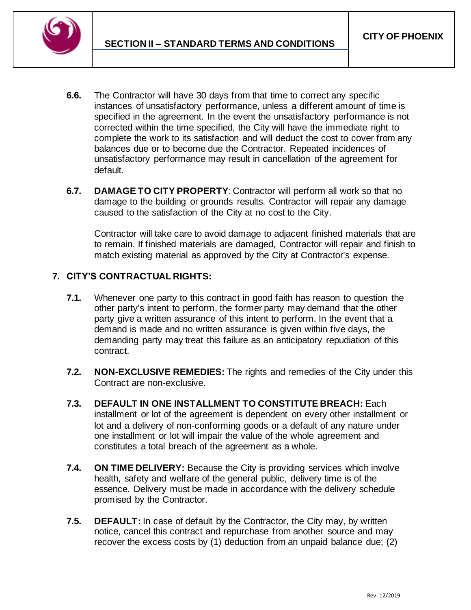

- **6.6.** The Contractor will have 30 days from that time to correct any specific instances of unsatisfactory performance, unless a different amount of time is specified in the agreement. In the event the unsatisfactory performance is not corrected within the time specified, the City will have the immediate right to complete the work to its satisfaction and will deduct the cost to cover from any balances due or to become due the Contractor. Repeated incidences of unsatisfactory performance may result in cancellation of the agreement for default.
- **6.7. DAMAGE TO CITY PROPERTY**: Contractor will perform all work so that no damage to the building or grounds results. Contractor will repair any damage caused to the satisfaction of the City at no cost to the City.

Contractor will take care to avoid damage to adjacent finished materials that are to remain. If finished materials are damaged, Contractor will repair and finish to match existing material as approved by the City at Contractor's expense.

# **7. CITY'S CONTRACTUAL RIGHTS:**

- **7.1.** Whenever one party to this contract in good faith has reason to question the other party's intent to perform, the former party may demand that the other party give a written assurance of this intent to perform. In the event that a demand is made and no written assurance is given within five days, the demanding party may treat this failure as an anticipatory repudiation of this contract.
- **7.2. NON-EXCLUSIVE REMEDIES:** The rights and remedies of the City under this Contract are non-exclusive.
- **7.3. DEFAULT IN ONE INSTALLMENT TO CONSTITUTE BREACH:** Each installment or lot of the agreement is dependent on every other installment or lot and a delivery of non-conforming goods or a default of any nature under one installment or lot will impair the value of the whole agreement and constitutes a total breach of the agreement as a whole.
- **7.4. ON TIME DELIVERY:** Because the City is providing services which involve health, safety and welfare of the general public, delivery time is of the essence. Delivery must be made in accordance with the delivery schedule promised by the Contractor.
- **7.5. DEFAULT:** In case of default by the Contractor, the City may, by written notice, cancel this contract and repurchase from another source and may recover the excess costs by (1) deduction from an unpaid balance due; (2)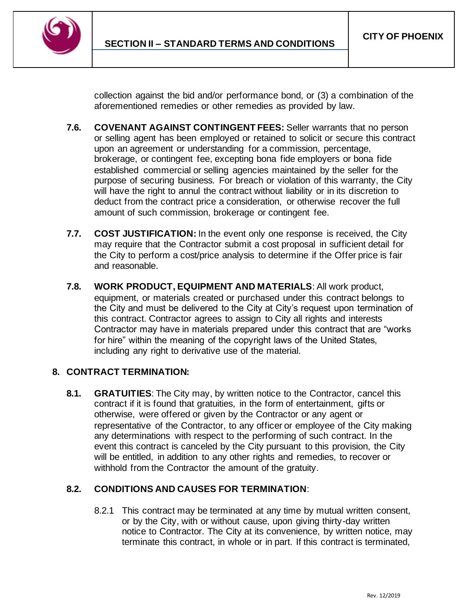

collection against the bid and/or performance bond, or (3) a combination of the aforementioned remedies or other remedies as provided by law.

- **7.6. COVENANT AGAINST CONTINGENT FEES:** Seller warrants that no person or selling agent has been employed or retained to solicit or secure this contract upon an agreement or understanding for a commission, percentage, brokerage, or contingent fee, excepting bona fide employers or bona fide established commercial or selling agencies maintained by the seller for the purpose of securing business. For breach or violation of this warranty, the City will have the right to annul the contract without liability or in its discretion to deduct from the contract price a consideration, or otherwise recover the full amount of such commission, brokerage or contingent fee.
- **7.7. COST JUSTIFICATION:** In the event only one response is received, the City may require that the Contractor submit a cost proposal in sufficient detail for the City to perform a cost/price analysis to determine if the Offer price is fair and reasonable.
- **7.8. WORK PRODUCT, EQUIPMENT AND MATERIALS**: All work product, equipment, or materials created or purchased under this contract belongs to the City and must be delivered to the City at City's request upon termination of this contract. Contractor agrees to assign to City all rights and interests Contractor may have in materials prepared under this contract that are "works for hire" within the meaning of the copyright laws of the United States, including any right to derivative use of the material.

# **8. CONTRACT TERMINATION:**

**8.1. GRATUITIES**: The City may, by written notice to the Contractor, cancel this contract if it is found that gratuities, in the form of entertainment, gifts or otherwise, were offered or given by the Contractor or any agent or representative of the Contractor, to any officer or employee of the City making any determinations with respect to the performing of such contract. In the event this contract is canceled by the City pursuant to this provision, the City will be entitled, in addition to any other rights and remedies, to recover or withhold from the Contractor the amount of the gratuity.

# **8.2. CONDITIONS AND CAUSES FOR TERMINATION**:

8.2.1 This contract may be terminated at any time by mutual written consent, or by the City, with or without cause, upon giving thirty-day written notice to Contractor. The City at its convenience, by written notice, may terminate this contract, in whole or in part. If this contract is terminated,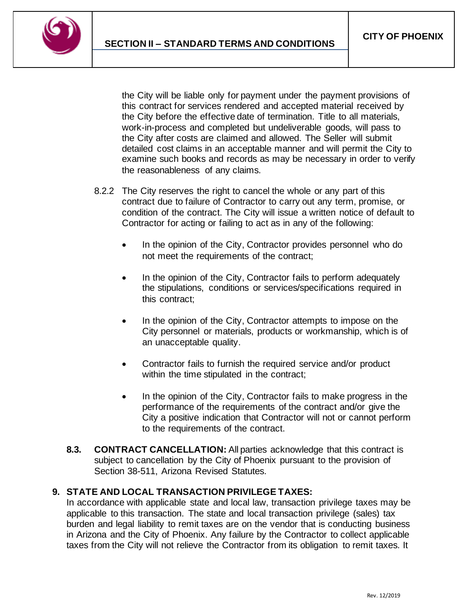

the City will be liable only for payment under the payment provisions of this contract for services rendered and accepted material received by the City before the effective date of termination. Title to all materials, work-in-process and completed but undeliverable goods, will pass to the City after costs are claimed and allowed. The Seller will submit detailed cost claims in an acceptable manner and will permit the City to examine such books and records as may be necessary in order to verify the reasonableness of any claims.

- 8.2.2 The City reserves the right to cancel the whole or any part of this contract due to failure of Contractor to carry out any term, promise, or condition of the contract. The City will issue a written notice of default to Contractor for acting or failing to act as in any of the following:
	- In the opinion of the City, Contractor provides personnel who do not meet the requirements of the contract;
	- In the opinion of the City, Contractor fails to perform adequately the stipulations, conditions or services/specifications required in this contract;
	- In the opinion of the City, Contractor attempts to impose on the City personnel or materials, products or workmanship, which is of an unacceptable quality.
	- Contractor fails to furnish the required service and/or product within the time stipulated in the contract;
	- In the opinion of the City, Contractor fails to make progress in the performance of the requirements of the contract and/or give the City a positive indication that Contractor will not or cannot perform to the requirements of the contract.
- **8.3. CONTRACT CANCELLATION:** All parties acknowledge that this contract is subject to cancellation by the City of Phoenix pursuant to the provision of Section 38-511, Arizona Revised Statutes.

# **9. STATE AND LOCAL TRANSACTION PRIVILEGE TAXES:**

In accordance with applicable state and local law, transaction privilege taxes may be applicable to this transaction. The state and local transaction privilege (sales) tax burden and legal liability to remit taxes are on the vendor that is conducting business in Arizona and the City of Phoenix. Any failure by the Contractor to collect applicable taxes from the City will not relieve the Contractor from its obligation to remit taxes. It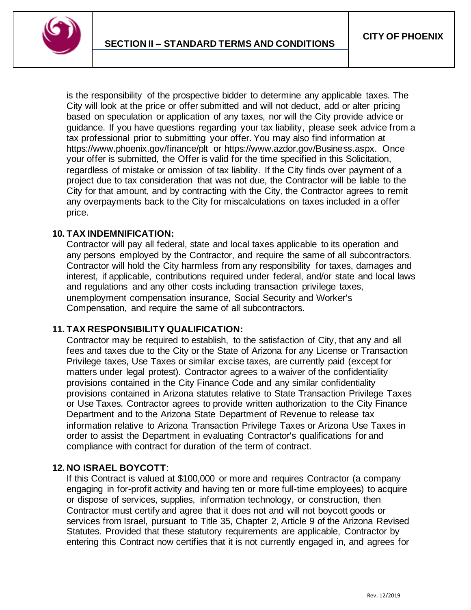

is the responsibility of the prospective bidder to determine any applicable taxes. The City will look at the price or offer submitted and will not deduct, add or alter pricing based on speculation or application of any taxes, nor will the City provide advice or guidance. If you have questions regarding your tax liability, please seek advice from a tax professional prior to submitting your offer. You may also find information at https://www.phoenix.gov/finance/plt or https://www.azdor.gov/Business.aspx. Once your offer is submitted, the Offer is valid for the time specified in this Solicitation, regardless of mistake or omission of tax liability. If the City finds over payment of a project due to tax consideration that was not due, the Contractor will be liable to the City for that amount, and by contracting with the City, the Contractor agrees to remit any overpayments back to the City for miscalculations on taxes included in a offer price.

#### **10. TAX INDEMNIFICATION:**

Contractor will pay all federal, state and local taxes applicable to its operation and any persons employed by the Contractor, and require the same of all subcontractors. Contractor will hold the City harmless from any responsibility for taxes, damages and interest, if applicable, contributions required under federal, and/or state and local laws and regulations and any other costs including transaction privilege taxes, unemployment compensation insurance, Social Security and Worker's Compensation, and require the same of all subcontractors.

#### **11. TAX RESPONSIBILITY QUALIFICATION:**

Contractor may be required to establish, to the satisfaction of City, that any and all fees and taxes due to the City or the State of Arizona for any License or Transaction Privilege taxes, Use Taxes or similar excise taxes, are currently paid (except for matters under legal protest). Contractor agrees to a waiver of the confidentiality provisions contained in the City Finance Code and any similar confidentiality provisions contained in Arizona statutes relative to State Transaction Privilege Taxes or Use Taxes. Contractor agrees to provide written authorization to the City Finance Department and to the Arizona State Department of Revenue to release tax information relative to Arizona Transaction Privilege Taxes or Arizona Use Taxes in order to assist the Department in evaluating Contractor's qualifications for and compliance with contract for duration of the term of contract.

#### **12. NO ISRAEL BOYCOTT**:

If this Contract is valued at \$100,000 or more and requires Contractor (a company engaging in for-profit activity and having ten or more full-time employees) to acquire or dispose of services, supplies, information technology, or construction, then Contractor must certify and agree that it does not and will not boycott goods or services from Israel, pursuant to Title 35, Chapter 2, Article 9 of the Arizona Revised Statutes. Provided that these statutory requirements are applicable, Contractor by entering this Contract now certifies that it is not currently engaged in, and agrees for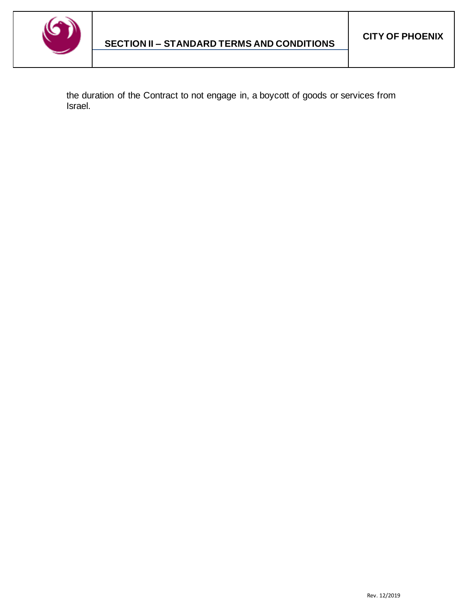

the duration of the Contract to not engage in, a boycott of goods or services from Israel.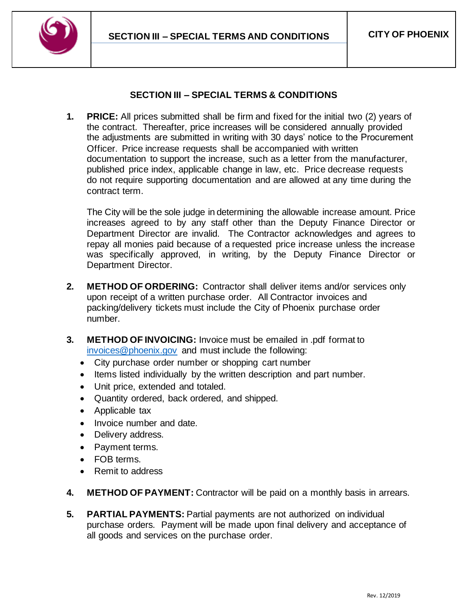

# **SECTION III – SPECIAL TERMS & CONDITIONS**

<span id="page-31-0"></span>**1. PRICE:** All prices submitted shall be firm and fixed for the initial two (2) years of the contract. Thereafter, price increases will be considered annually provided the adjustments are submitted in writing with 30 days' notice to the Procurement Officer. Price increase requests shall be accompanied with written documentation to support the increase, such as a letter from the manufacturer, published price index, applicable change in law, etc. Price decrease requests do not require supporting documentation and are allowed at any time during the contract term.

The City will be the sole judge in determining the allowable increase amount. Price increases agreed to by any staff other than the Deputy Finance Director or Department Director are invalid. The Contractor acknowledges and agrees to repay all monies paid because of a requested price increase unless the increase was specifically approved, in writing, by the Deputy Finance Director or Department Director.

- **2. METHOD OF ORDERING:** Contractor shall deliver items and/or services only upon receipt of a written purchase order. All Contractor invoices and packing/delivery tickets must include the City of Phoenix purchase order number.
- **3. METHOD OF INVOICING:** Invoice must be emailed in .pdf format to [invoices@phoenix.gov](mailto:invoices@phoenix.gov) and must include the following:
	- City purchase order number or shopping cart number
	- Items listed individually by the written description and part number.
	- Unit price, extended and totaled.
	- Quantity ordered, back ordered, and shipped.
	- Applicable tax
	- Invoice number and date.
	- Delivery address.
	- Payment terms.
	- FOB terms.
	- Remit to address
- **4. METHOD OF PAYMENT:** Contractor will be paid on a monthly basis in arrears.
- **5. PARTIAL PAYMENTS:** Partial payments are not authorized on individual purchase orders. Payment will be made upon final delivery and acceptance of all goods and services on the purchase order.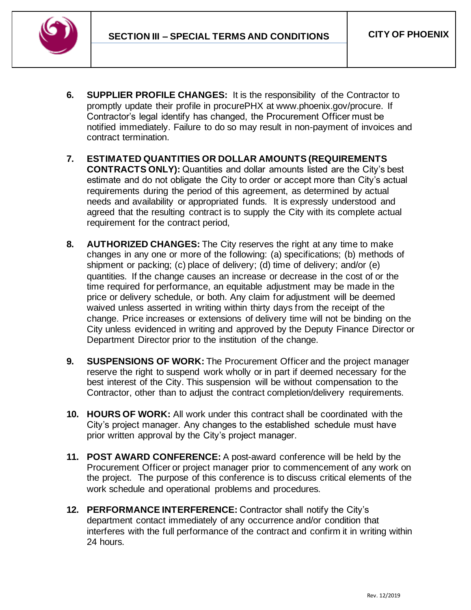

- **6. SUPPLIER PROFILE CHANGES:** It is the responsibility of the Contractor to promptly update their profile in procurePHX at www.phoenix.gov/procure. If Contractor's legal identify has changed, the Procurement Officer must be notified immediately. Failure to do so may result in non-payment of invoices and contract termination.
- **7. ESTIMATED QUANTITIES OR DOLLAR AMOUNTS (REQUIREMENTS CONTRACTS ONLY):** Quantities and dollar amounts listed are the City's best estimate and do not obligate the City to order or accept more than City's actual requirements during the period of this agreement, as determined by actual needs and availability or appropriated funds. It is expressly understood and agreed that the resulting contract is to supply the City with its complete actual requirement for the contract period,
- **8. AUTHORIZED CHANGES:** The City reserves the right at any time to make changes in any one or more of the following: (a) specifications; (b) methods of shipment or packing; (c) place of delivery; (d) time of delivery; and/or (e) quantities. If the change causes an increase or decrease in the cost of or the time required for performance, an equitable adjustment may be made in the price or delivery schedule, or both. Any claim for adjustment will be deemed waived unless asserted in writing within thirty days from the receipt of the change. Price increases or extensions of delivery time will not be binding on the City unless evidenced in writing and approved by the Deputy Finance Director or Department Director prior to the institution of the change.
- **9. SUSPENSIONS OF WORK:** The Procurement Officer and the project manager reserve the right to suspend work wholly or in part if deemed necessary for the best interest of the City. This suspension will be without compensation to the Contractor, other than to adjust the contract completion/delivery requirements.
- **10. HOURS OF WORK:** All work under this contract shall be coordinated with the City's project manager. Any changes to the established schedule must have prior written approval by the City's project manager.
- **11. POST AWARD CONFERENCE:** A post-award conference will be held by the Procurement Officer or project manager prior to commencement of any work on the project. The purpose of this conference is to discuss critical elements of the work schedule and operational problems and procedures.
- **12. PERFORMANCE INTERFERENCE:** Contractor shall notify the City's department contact immediately of any occurrence and/or condition that interferes with the full performance of the contract and confirm it in writing within 24 hours.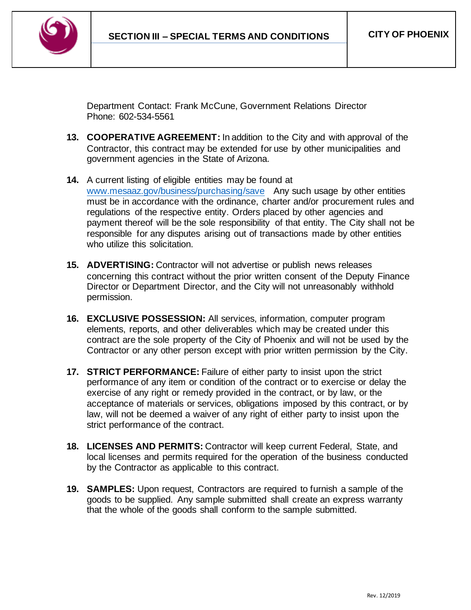

Department Contact: Frank McCune, Government Relations Director Phone: 602-534-5561

- **13. COOPERATIVE AGREEMENT:** In addition to the City and with approval of the Contractor, this contract may be extended for use by other municipalities and government agencies in the State of Arizona.
- **14.** A current listing of eligible entities may be found at [www.mesaaz.gov/business/purchasing/save](http://www.mesaaz.gov/business/purchasing/save) Any such usage by other entities must be in accordance with the ordinance, charter and/or procurement rules and regulations of the respective entity. Orders placed by other agencies and payment thereof will be the sole responsibility of that entity. The City shall not be responsible for any disputes arising out of transactions made by other entities who utilize this solicitation.
- **15. ADVERTISING:** Contractor will not advertise or publish news releases concerning this contract without the prior written consent of the Deputy Finance Director or Department Director, and the City will not unreasonably withhold permission.
- **16. EXCLUSIVE POSSESSION:** All services, information, computer program elements, reports, and other deliverables which may be created under this contract are the sole property of the City of Phoenix and will not be used by the Contractor or any other person except with prior written permission by the City.
- **17. STRICT PERFORMANCE:** Failure of either party to insist upon the strict performance of any item or condition of the contract or to exercise or delay the exercise of any right or remedy provided in the contract, or by law, or the acceptance of materials or services, obligations imposed by this contract, or by law, will not be deemed a waiver of any right of either party to insist upon the strict performance of the contract.
- **18. LICENSES AND PERMITS:** Contractor will keep current Federal, State, and local licenses and permits required for the operation of the business conducted by the Contractor as applicable to this contract.
- **19. SAMPLES:** Upon request, Contractors are required to furnish a sample of the goods to be supplied. Any sample submitted shall create an express warranty that the whole of the goods shall conform to the sample submitted.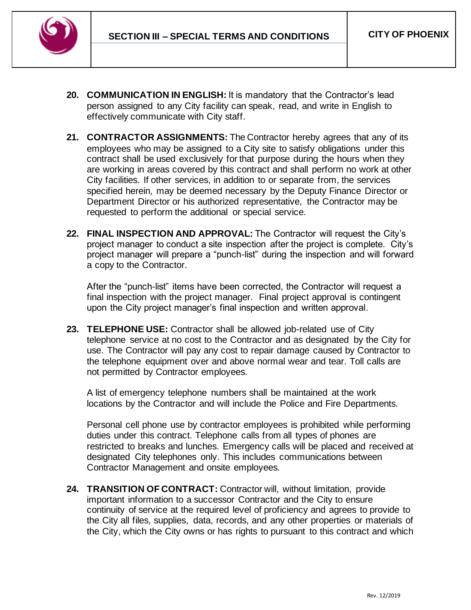

- **20. COMMUNICATION IN ENGLISH:** It is mandatory that the Contractor's lead person assigned to any City facility can speak, read, and write in English to effectively communicate with City staff.
- **21. CONTRACTOR ASSIGNMENTS:** The Contractor hereby agrees that any of its employees who may be assigned to a City site to satisfy obligations under this contract shall be used exclusively for that purpose during the hours when they are working in areas covered by this contract and shall perform no work at other City facilities. If other services, in addition to or separate from, the services specified herein, may be deemed necessary by the Deputy Finance Director or Department Director or his authorized representative, the Contractor may be requested to perform the additional or special service.
- **22. FINAL INSPECTION AND APPROVAL:** The Contractor will request the City's project manager to conduct a site inspection after the project is complete. City's project manager will prepare a "punch-list" during the inspection and will forward a copy to the Contractor.

After the "punch-list" items have been corrected, the Contractor will request a final inspection with the project manager. Final project approval is contingent upon the City project manager's final inspection and written approval.

**23. TELEPHONE USE:** Contractor shall be allowed job-related use of City telephone service at no cost to the Contractor and as designated by the City for use. The Contractor will pay any cost to repair damage caused by Contractor to the telephone equipment over and above normal wear and tear. Toll calls are not permitted by Contractor employees.

A list of emergency telephone numbers shall be maintained at the work locations by the Contractor and will include the Police and Fire Departments.

Personal cell phone use by contractor employees is prohibited while performing duties under this contract. Telephone calls from all types of phones are restricted to breaks and lunches. Emergency calls will be placed and received at designated City telephones only. This includes communications between Contractor Management and onsite employees.

**24. TRANSITION OF CONTRACT:** Contractor will, without limitation, provide important information to a successor Contractor and the City to ensure continuity of service at the required level of proficiency and agrees to provide to the City all files, supplies, data, records, and any other properties or materials of the City, which the City owns or has rights to pursuant to this contract and which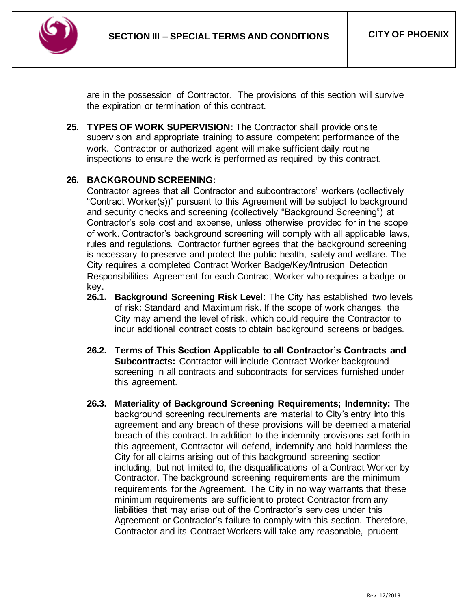

are in the possession of Contractor. The provisions of this section will survive the expiration or termination of this contract.

**25. TYPES OF WORK SUPERVISION:** The Contractor shall provide onsite supervision and appropriate training to assure competent performance of the work. Contractor or authorized agent will make sufficient daily routine inspections to ensure the work is performed as required by this contract.

### **26. BACKGROUND SCREENING:**

Contractor agrees that all Contractor and subcontractors' workers (collectively "Contract Worker(s))" pursuant to this Agreement will be subject to background and security checks and screening (collectively "Background Screening") at Contractor's sole cost and expense, unless otherwise provided for in the scope of work. Contractor's background screening will comply with all applicable laws, rules and regulations. Contractor further agrees that the background screening is necessary to preserve and protect the public health, safety and welfare. The City requires a completed Contract Worker Badge/Key/Intrusion Detection Responsibilities Agreement for each Contract Worker who requires a badge or key.

- **26.1. Background Screening Risk Level**: The City has established two levels of risk: Standard and Maximum risk. If the scope of work changes, the City may amend the level of risk, which could require the Contractor to incur additional contract costs to obtain background screens or badges.
- **26.2. Terms of This Section Applicable to all Contractor's Contracts and Subcontracts: Contractor will include Contract Worker background** screening in all contracts and subcontracts for services furnished under this agreement.
- **26.3. Materiality of Background Screening Requirements; Indemnity:** The background screening requirements are material to City's entry into this agreement and any breach of these provisions will be deemed a material breach of this contract. In addition to the indemnity provisions set forth in this agreement, Contractor will defend, indemnify and hold harmless the City for all claims arising out of this background screening section including, but not limited to, the disqualifications of a Contract Worker by Contractor. The background screening requirements are the minimum requirements for the Agreement. The City in no way warrants that these minimum requirements are sufficient to protect Contractor from any liabilities that may arise out of the Contractor's services under this Agreement or Contractor's failure to comply with this section. Therefore, Contractor and its Contract Workers will take any reasonable, prudent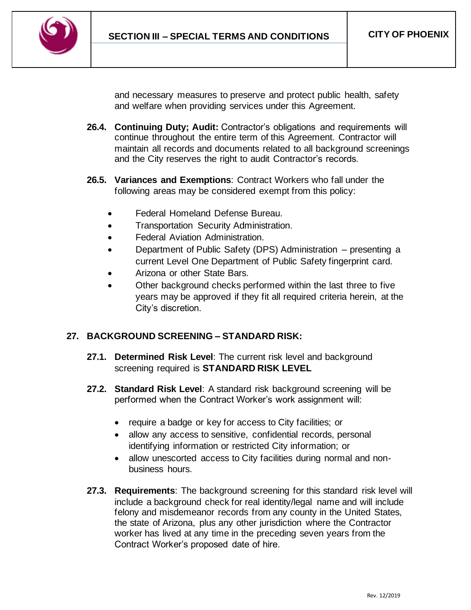

and necessary measures to preserve and protect public health, safety and welfare when providing services under this Agreement.

- **26.4. Continuing Duty; Audit:** Contractor's obligations and requirements will continue throughout the entire term of this Agreement. Contractor will maintain all records and documents related to all background screenings and the City reserves the right to audit Contractor's records.
- **26.5. Variances and Exemptions**: Contract Workers who fall under the following areas may be considered exempt from this policy:
	- Federal Homeland Defense Bureau.
	- Transportation Security Administration.
	- Federal Aviation Administration.
	- Department of Public Safety (DPS) Administration presenting a current Level One Department of Public Safety fingerprint card.
	- Arizona or other State Bars.
	- Other background checks performed within the last three to five years may be approved if they fit all required criteria herein, at the City's discretion.

# **27. BACKGROUND SCREENING – STANDARD RISK:**

- **27.1. Determined Risk Level**: The current risk level and background screening required is **STANDARD RISK LEVEL**
- **27.2. Standard Risk Level**: A standard risk background screening will be performed when the Contract Worker's work assignment will:
	- require a badge or key for access to City facilities; or
	- allow any access to sensitive, confidential records, personal identifying information or restricted City information; or
	- allow unescorted access to City facilities during normal and nonbusiness hours.
- **27.3. Requirements**: The background screening for this standard risk level will include a background check for real identity/legal name and will include felony and misdemeanor records from any county in the United States, the state of Arizona, plus any other jurisdiction where the Contractor worker has lived at any time in the preceding seven years from the Contract Worker's proposed date of hire.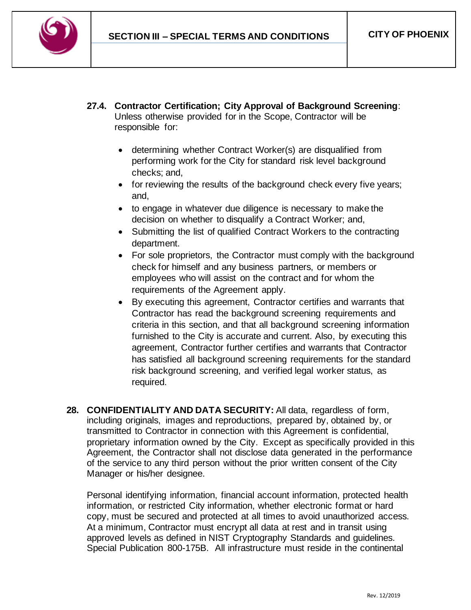

- **27.4. Contractor Certification; City Approval of Background Screening**: Unless otherwise provided for in the Scope, Contractor will be responsible for:
	- determining whether Contract Worker(s) are disqualified from performing work for the City for standard risk level background checks; and,
	- for reviewing the results of the background check every five years; and,
	- to engage in whatever due diligence is necessary to make the decision on whether to disqualify a Contract Worker; and,
	- Submitting the list of qualified Contract Workers to the contracting department.
	- For sole proprietors, the Contractor must comply with the background check for himself and any business partners, or members or employees who will assist on the contract and for whom the requirements of the Agreement apply.
	- By executing this agreement, Contractor certifies and warrants that Contractor has read the background screening requirements and criteria in this section, and that all background screening information furnished to the City is accurate and current. Also, by executing this agreement, Contractor further certifies and warrants that Contractor has satisfied all background screening requirements for the standard risk background screening, and verified legal worker status, as required.
- **28. CONFIDENTIALITY AND DATA SECURITY:** All data, regardless of form, including originals, images and reproductions, prepared by, obtained by, or transmitted to Contractor in connection with this Agreement is confidential, proprietary information owned by the City. Except as specifically provided in this Agreement, the Contractor shall not disclose data generated in the performance of the service to any third person without the prior written consent of the City Manager or his/her designee.

Personal identifying information, financial account information, protected health information, or restricted City information, whether electronic format or hard copy, must be secured and protected at all times to avoid unauthorized access. At a minimum, Contractor must encrypt all data at rest and in transit using approved levels as defined in NIST Cryptography Standards and guidelines. Special Publication 800-175B. All infrastructure must reside in the continental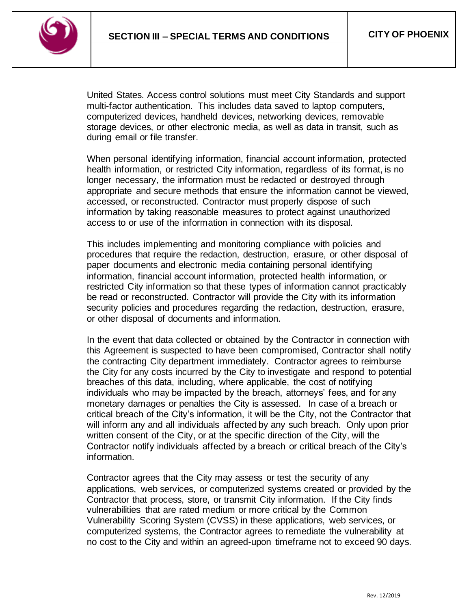

United States. Access control solutions must meet City Standards and support multi-factor authentication. This includes data saved to laptop computers, computerized devices, handheld devices, networking devices, removable storage devices, or other electronic media, as well as data in transit, such as during email or file transfer.

When personal identifying information, financial account information, protected health information, or restricted City information, regardless of its format, is no longer necessary, the information must be redacted or destroyed through appropriate and secure methods that ensure the information cannot be viewed, accessed, or reconstructed. Contractor must properly dispose of such information by taking reasonable measures to protect against unauthorized access to or use of the information in connection with its disposal.

This includes implementing and monitoring compliance with policies and procedures that require the redaction, destruction, erasure, or other disposal of paper documents and electronic media containing personal identifying information, financial account information, protected health information, or restricted City information so that these types of information cannot practicably be read or reconstructed. Contractor will provide the City with its information security policies and procedures regarding the redaction, destruction, erasure, or other disposal of documents and information.

In the event that data collected or obtained by the Contractor in connection with this Agreement is suspected to have been compromised, Contractor shall notify the contracting City department immediately. Contractor agrees to reimburse the City for any costs incurred by the City to investigate and respond to potential breaches of this data, including, where applicable, the cost of notifying individuals who may be impacted by the breach, attorneys' fees, and for any monetary damages or penalties the City is assessed. In case of a breach or critical breach of the City's information, it will be the City, not the Contractor that will inform any and all individuals affected by any such breach. Only upon prior written consent of the City, or at the specific direction of the City, will the Contractor notify individuals affected by a breach or critical breach of the City's information.

Contractor agrees that the City may assess or test the security of any applications, web services, or computerized systems created or provided by the Contractor that process, store, or transmit City information. If the City finds vulnerabilities that are rated medium or more critical by the Common Vulnerability Scoring System (CVSS) in these applications, web services, or computerized systems, the Contractor agrees to remediate the vulnerability at no cost to the City and within an agreed-upon timeframe not to exceed 90 days.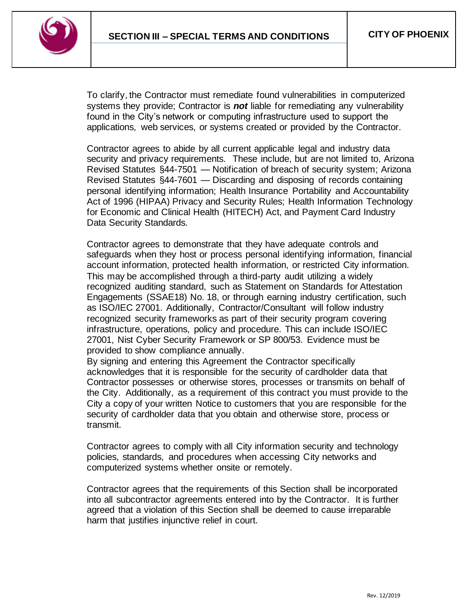

To clarify, the Contractor must remediate found vulnerabilities in computerized systems they provide; Contractor is *not* liable for remediating any vulnerability found in the City's network or computing infrastructure used to support the applications, web services, or systems created or provided by the Contractor.

Contractor agrees to abide by all current applicable legal and industry data security and privacy requirements. These include, but are not limited to, Arizona Revised Statutes §44-7501 — Notification of breach of security system; Arizona Revised Statutes §44-7601 — Discarding and disposing of records containing personal identifying information; Health Insurance Portability and Accountability Act of 1996 (HIPAA) Privacy and Security Rules; Health Information Technology for Economic and Clinical Health (HITECH) Act, and Payment Card Industry Data Security Standards.

Contractor agrees to demonstrate that they have adequate controls and safeguards when they host or process personal identifying information, financial account information, protected health information, or restricted City information. This may be accomplished through a third-party audit utilizing a widely recognized auditing standard, such as Statement on Standards for Attestation Engagements (SSAE18) No. 18, or through earning industry certification, such as ISO/IEC 27001. Additionally, Contractor/Consultant will follow industry recognized security frameworks as part of their security program covering infrastructure, operations, policy and procedure. This can include ISO/IEC 27001, Nist Cyber Security Framework or SP 800/53. Evidence must be provided to show compliance annually.

By signing and entering this Agreement the Contractor specifically acknowledges that it is responsible for the security of cardholder data that Contractor possesses or otherwise stores, processes or transmits on behalf of the City. Additionally, as a requirement of this contract you must provide to the City a copy of your written Notice to customers that you are responsible for the security of cardholder data that you obtain and otherwise store, process or transmit.

Contractor agrees to comply with all City information security and technology policies, standards, and procedures when accessing City networks and computerized systems whether onsite or remotely.

Contractor agrees that the requirements of this Section shall be incorporated into all subcontractor agreements entered into by the Contractor. It is further agreed that a violation of this Section shall be deemed to cause irreparable harm that justifies injunctive relief in court.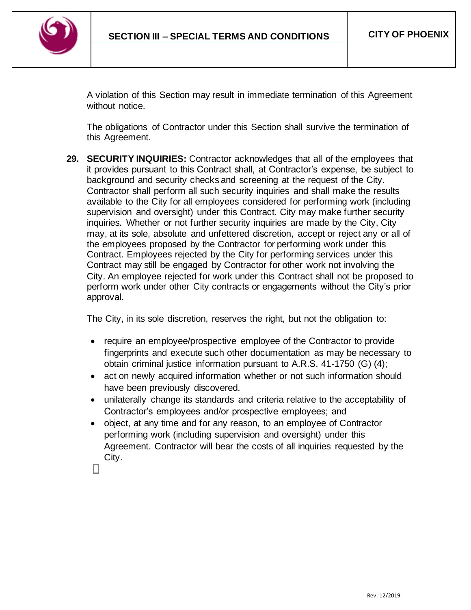

A violation of this Section may result in immediate termination of this Agreement without notice.

The obligations of Contractor under this Section shall survive the termination of this Agreement.

**29. SECURITY INQUIRIES:** Contractor acknowledges that all of the employees that it provides pursuant to this Contract shall, at Contractor's expense, be subject to background and security checks and screening at the request of the City. Contractor shall perform all such security inquiries and shall make the results available to the City for all employees considered for performing work (including supervision and oversight) under this Contract. City may make further security inquiries. Whether or not further security inquiries are made by the City, City may, at its sole, absolute and unfettered discretion, accept or reject any or all of the employees proposed by the Contractor for performing work under this Contract. Employees rejected by the City for performing services under this Contract may still be engaged by Contractor for other work not involving the City. An employee rejected for work under this Contract shall not be proposed to perform work under other City contracts or engagements without the City's prior approval.

The City, in its sole discretion, reserves the right, but not the obligation to:

- require an employee/prospective employee of the Contractor to provide fingerprints and execute such other documentation as may be necessary to obtain criminal justice information pursuant to A.R.S. 41-1750 (G) (4);
- act on newly acquired information whether or not such information should have been previously discovered.
- unilaterally change its standards and criteria relative to the acceptability of Contractor's employees and/or prospective employees; and
- object, at any time and for any reason, to an employee of Contractor performing work (including supervision and oversight) under this Agreement. Contractor will bear the costs of all inquiries requested by the City.

П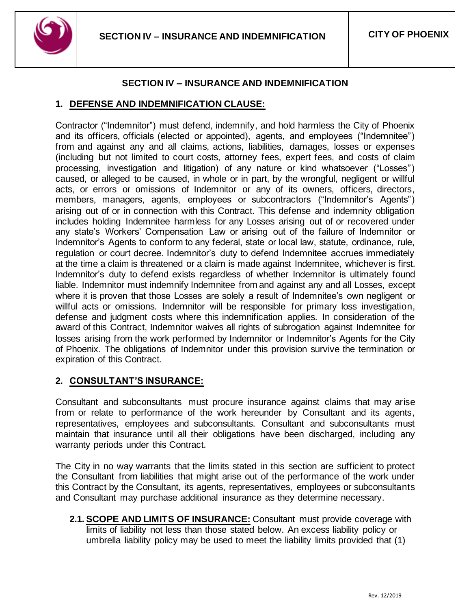

### **SECTION IV – INSURANCE AND INDEMNIFICATION**

#### <span id="page-41-0"></span>**1. DEFENSE AND INDEMNIFICATION CLAUSE:**

Contractor ("Indemnitor") must defend, indemnify, and hold harmless the City of Phoenix and its officers, officials (elected or appointed), agents, and employees ("Indemnitee") from and against any and all claims, actions, liabilities, damages, losses or expenses (including but not limited to court costs, attorney fees, expert fees, and costs of claim processing, investigation and litigation) of any nature or kind whatsoever ("Losses") caused, or alleged to be caused, in whole or in part, by the wrongful, negligent or willful acts, or errors or omissions of Indemnitor or any of its owners, officers, directors, members, managers, agents, employees or subcontractors ("Indemnitor's Agents") arising out of or in connection with this Contract. This defense and indemnity obligation includes holding Indemnitee harmless for any Losses arising out of or recovered under any state's Workers' Compensation Law or arising out of the failure of Indemnitor or Indemnitor's Agents to conform to any federal, state or local law, statute, ordinance, rule, regulation or court decree. Indemnitor's duty to defend Indemnitee accrues immediately at the time a claim is threatened or a claim is made against Indemnitee, whichever is first. Indemnitor's duty to defend exists regardless of whether Indemnitor is ultimately found liable. Indemnitor must indemnify Indemnitee from and against any and all Losses, except where it is proven that those Losses are solely a result of Indemnitee's own negligent or willful acts or omissions. Indemnitor will be responsible for primary loss investigation, defense and judgment costs where this indemnification applies. In consideration of the award of this Contract, Indemnitor waives all rights of subrogation against Indemnitee for losses arising from the work performed by Indemnitor or Indemnitor's Agents for the City of Phoenix. The obligations of Indemnitor under this provision survive the termination or expiration of this Contract.

### **2. CONSULTANT'S INSURANCE:**

Consultant and subconsultants must procure insurance against claims that may arise from or relate to performance of the work hereunder by Consultant and its agents, representatives, employees and subconsultants. Consultant and subconsultants must maintain that insurance until all their obligations have been discharged, including any warranty periods under this Contract.

The City in no way warrants that the limits stated in this section are sufficient to protect the Consultant from liabilities that might arise out of the performance of the work under this Contract by the Consultant, its agents, representatives, employees or subconsultants and Consultant may purchase additional insurance as they determine necessary.

**2.1. SCOPE AND LIMITS OF INSURANCE:** Consultant must provide coverage with limits of liability not less than those stated below. An excess liability policy or umbrella liability policy may be used to meet the liability limits provided that (1)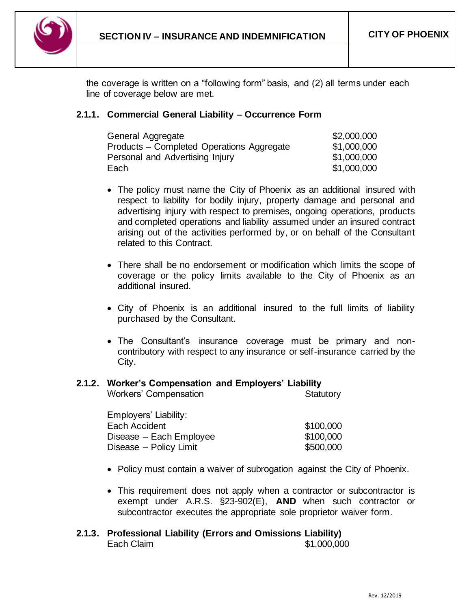

the coverage is written on a "following form" basis, and (2) all terms under each line of coverage below are met.

### **2.1.1. Commercial General Liability – Occurrence Form**

| General Aggregate                         | \$2,000,000 |
|-------------------------------------------|-------------|
| Products – Completed Operations Aggregate | \$1,000,000 |
| Personal and Advertising Injury           | \$1,000,000 |
| Each                                      | \$1,000,000 |

- The policy must name the City of Phoenix as an additional insured with respect to liability for bodily injury, property damage and personal and advertising injury with respect to premises, ongoing operations, products and completed operations and liability assumed under an insured contract arising out of the activities performed by, or on behalf of the Consultant related to this Contract.
- There shall be no endorsement or modification which limits the scope of coverage or the policy limits available to the City of Phoenix as an additional insured.
- City of Phoenix is an additional insured to the full limits of liability purchased by the Consultant.
- The Consultant's insurance coverage must be primary and noncontributory with respect to any insurance or self-insurance carried by the City.

#### **2.1.2. Worker's Compensation and Employers' Liability**

| Employers' Liability:   |           |
|-------------------------|-----------|
| Each Accident           | \$100,000 |
| Disease - Each Employee | \$100,000 |
| Disease - Policy Limit  | \$500,000 |

Workers' Compensation **Statutory** Statutory

- Policy must contain a waiver of subrogation against the City of Phoenix.
- This requirement does not apply when a contractor or subcontractor is exempt under A.R.S. §23-902(E), **AND** when such contractor or subcontractor executes the appropriate sole proprietor waiver form.
- **2.1.3. Professional Liability (Errors and Omissions Liability)** Each Claim **61,000,000**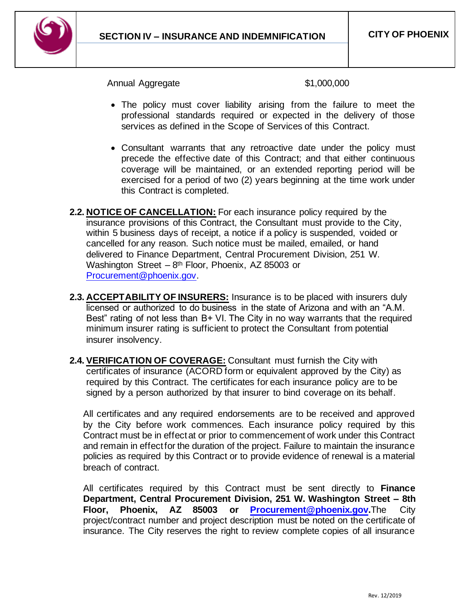

Annual Aggregate  $$1,000,000$ 

- The policy must cover liability arising from the failure to meet the professional standards required or expected in the delivery of those services as defined in the Scope of Services of this Contract.
- Consultant warrants that any retroactive date under the policy must precede the effective date of this Contract; and that either continuous coverage will be maintained, or an extended reporting period will be exercised for a period of two (2) years beginning at the time work under this Contract is completed.
- **2.2. NOTICE OF CANCELLATION:** For each insurance policy required by the insurance provisions of this Contract, the Consultant must provide to the City, within 5 business days of receipt, a notice if a policy is suspended, voided or cancelled for any reason. Such notice must be mailed, emailed, or hand delivered to Finance Department, Central Procurement Division, 251 W. Washington Street  $-8$ <sup>th</sup> Floor, Phoenix, AZ 85003 or [Procurement@phoenix.gov.](mailto:Procurement@phoenix.gov)
- **2.3. ACCEPTABILITY OF INSURERS:** Insurance is to be placed with insurers duly licensed or authorized to do business in the state of Arizona and with an "A.M. Best" rating of not less than B+ VI. The City in no way warrants that the required minimum insurer rating is sufficient to protect the Consultant from potential insurer insolvency.
- **2.4. VERIFICATION OF COVERAGE:** Consultant must furnish the City with certificates of insurance (ACORD form or equivalent approved by the City) as required by this Contract. The certificates for each insurance policy are to be signed by a person authorized by that insurer to bind coverage on its behalf*.*

All certificates and any required endorsements are to be received and approved by the City before work commences. Each insurance policy required by this Contract must be in effect at or prior to commencement of work under this Contract and remain in effect for the duration of the project. Failure to maintain the insurance policies as required by this Contract or to provide evidence of renewal is a material breach of contract.

All certificates required by this Contract must be sent directly to **Finance Department, Central Procurement Division, 251 W. Washington Street – 8th Floor, Phoenix, AZ 85003 or [Procurement@phoenix.gov.](mailto:Procurement@phoenix.gov)**The City project/contract number and project description must be noted on the certificate of insurance. The City reserves the right to review complete copies of all insurance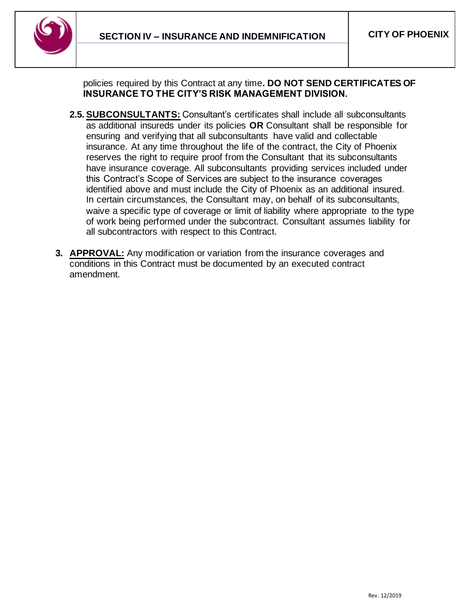

policies required by this Contract at any time**. DO NOT SEND CERTIFICATES OF INSURANCE TO THE CITY'S RISK MANAGEMENT DIVISION.**

- **2.5. SUBCONSULTANTS:** Consultant's certificates shall include all subconsultants as additional insureds under its policies **OR** Consultant shall be responsible for ensuring and verifying that all subconsultants have valid and collectable insurance. At any time throughout the life of the contract, the City of Phoenix reserves the right to require proof from the Consultant that its subconsultants have insurance coverage. All subconsultants providing services included under this Contract's Scope of Services are subject to the insurance coverages identified above and must include the City of Phoenix as an additional insured. In certain circumstances, the Consultant may, on behalf of its subconsultants, waive a specific type of coverage or limit of liability where appropriate to the type of work being performed under the subcontract. Consultant assumes liability for all subcontractors with respect to this Contract.
- **3. APPROVAL:** Any modification or variation from the insurance coverages and conditions in this Contract must be documented by an executed contract amendment.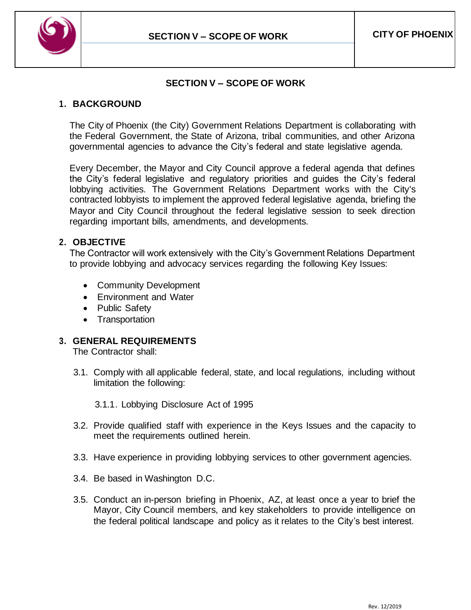

### **SECTION V – SCOPE OF WORK**

### <span id="page-45-0"></span>**1. BACKGROUND**

The City of Phoenix (the City) Government Relations Department is collaborating with the Federal Government, the State of Arizona, tribal communities, and other Arizona governmental agencies to advance the City's federal and state legislative agenda.

Every December, the Mayor and City Council approve a federal agenda that defines the City's federal legislative and regulatory priorities and guides the City's federal lobbying activities. The Government Relations Department works with the City's contracted lobbyists to implement the approved federal legislative agenda, briefing the Mayor and City Council throughout the federal legislative session to seek direction regarding important bills, amendments, and developments.

### **2. OBJECTIVE**

The Contractor will work extensively with the City's Government Relations Department to provide lobbying and advocacy services regarding the following Key Issues:

- Community Development
- Environment and Water
- Public Safety
- Transportation

### **3. GENERAL REQUIREMENTS**

The Contractor shall:

- 3.1. Comply with all applicable federal, state, and local regulations, including without limitation the following:
	- 3.1.1. Lobbying Disclosure Act of 1995
- 3.2. Provide qualified staff with experience in the Keys Issues and the capacity to meet the requirements outlined herein.
- 3.3. Have experience in providing lobbying services to other government agencies.
- 3.4. Be based in Washington D.C.
- 3.5. Conduct an in-person briefing in Phoenix, AZ, at least once a year to brief the Mayor, City Council members, and key stakeholders to provide intelligence on the federal political landscape and policy as it relates to the City's best interest.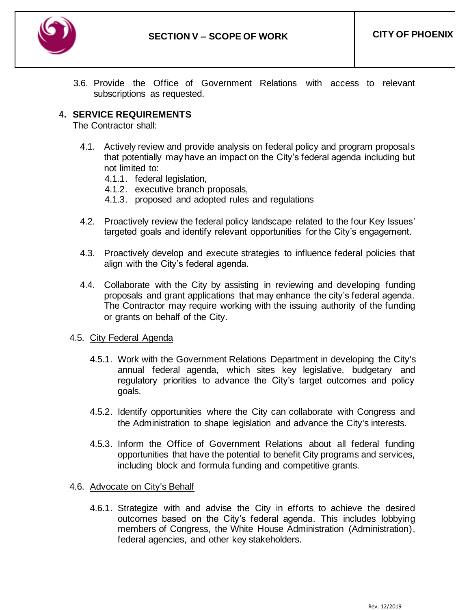

3.6. Provide the Office of Government Relations with access to relevant subscriptions as requested.

# **4. SERVICE REQUIREMENTS**

The Contractor shall:

- 4.1. Actively review and provide analysis on federal policy and program proposals that potentially may have an impact on the City's federal agenda including but not limited to:
	- 4.1.1. federal legislation,
	- 4.1.2. executive branch proposals,
	- 4.1.3. proposed and adopted rules and regulations
- 4.2. Proactively review the federal policy landscape related to the four Key Issues' targeted goals and identify relevant opportunities for the City's engagement.
- 4.3. Proactively develop and execute strategies to influence federal policies that align with the City's federal agenda.
- 4.4. Collaborate with the City by assisting in reviewing and developing funding proposals and grant applications that may enhance the city's federal agenda. The Contractor may require working with the issuing authority of the funding or grants on behalf of the City.

#### 4.5. City Federal Agenda

- 4.5.1. Work with the Government Relations Department in developing the City's annual federal agenda, which sites key legislative, budgetary and regulatory priorities to advance the City's target outcomes and policy goals.
- 4.5.2. Identify opportunities where the City can collaborate with Congress and the Administration to shape legislation and advance the City's interests.
- 4.5.3. Inform the Office of Government Relations about all federal funding opportunities that have the potential to benefit City programs and services, including block and formula funding and competitive grants.

#### 4.6. Advocate on City's Behalf

4.6.1. Strategize with and advise the City in efforts to achieve the desired outcomes based on the City's federal agenda. This includes lobbying members of Congress, the White House Administration (Administration), federal agencies, and other key stakeholders.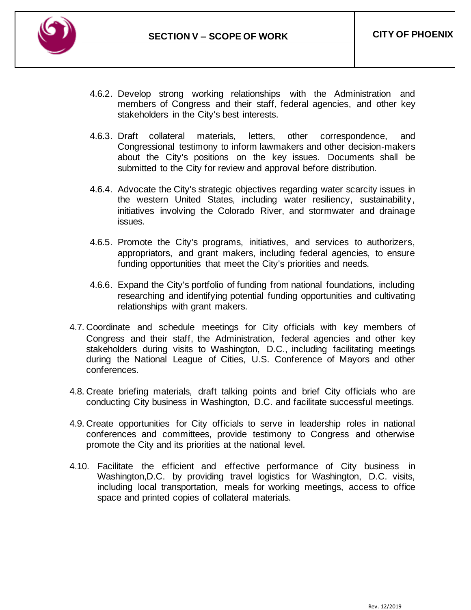

- 4.6.2. Develop strong working relationships with the Administration and members of Congress and their staff, federal agencies, and other key stakeholders in the City's best interests.
- 4.6.3. Draft collateral materials, letters, other correspondence, and Congressional testimony to inform lawmakers and other decision-makers about the City's positions on the key issues. Documents shall be submitted to the City for review and approval before distribution.
- 4.6.4. Advocate the City's strategic objectives regarding water scarcity issues in the western United States, including water resiliency, sustainability, initiatives involving the Colorado River, and stormwater and drainage issues.
- 4.6.5. Promote the City's programs, initiatives, and services to authorizers, appropriators, and grant makers, including federal agencies, to ensure funding opportunities that meet the City's priorities and needs.
- 4.6.6. Expand the City's portfolio of funding from national foundations, including researching and identifying potential funding opportunities and cultivating relationships with grant makers.
- 4.7. Coordinate and schedule meetings for City officials with key members of Congress and their staff, the Administration, federal agencies and other key stakeholders during visits to Washington, D.C., including facilitating meetings during the National League of Cities, U.S. Conference of Mayors and other conferences.
- 4.8. Create briefing materials, draft talking points and brief City officials who are conducting City business in Washington, D.C. and facilitate successful meetings.
- 4.9. Create opportunities for City officials to serve in leadership roles in national conferences and committees, provide testimony to Congress and otherwise promote the City and its priorities at the national level.
- 4.10. Facilitate the efficient and effective performance of City business in Washington,D.C. by providing travel logistics for Washington, D.C. visits, including local transportation, meals for working meetings, access to office space and printed copies of collateral materials.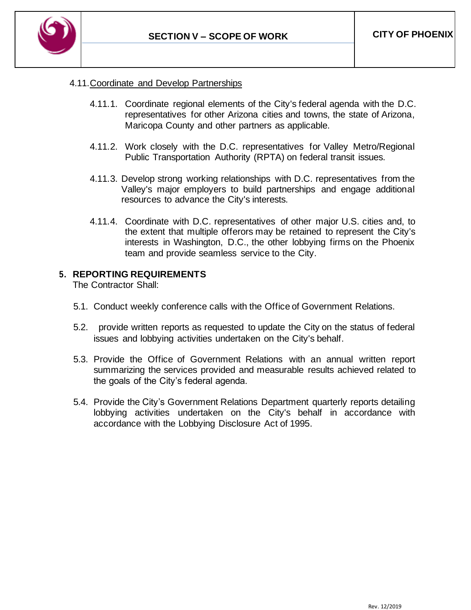

### 4.11.Coordinate and Develop Partnerships

- 4.11.1. Coordinate regional elements of the City's federal agenda with the D.C. representatives for other Arizona cities and towns, the state of Arizona, Maricopa County and other partners as applicable.
- 4.11.2. Work closely with the D.C. representatives for Valley Metro/Regional Public Transportation Authority (RPTA) on federal transit issues.
- 4.11.3. Develop strong working relationships with D.C. representatives from the Valley's major employers to build partnerships and engage additional resources to advance the City's interests.
- 4.11.4. Coordinate with D.C. representatives of other major U.S. cities and, to the extent that multiple offerors may be retained to represent the City's interests in Washington, D.C., the other lobbying firms on the Phoenix team and provide seamless service to the City.

#### **5. REPORTING REQUIREMENTS**

The Contractor Shall:

- 5.1. Conduct weekly conference calls with the Office of Government Relations.
- 5.2. provide written reports as requested to update the City on the status of federal issues and lobbying activities undertaken on the City's behalf.
- 5.3. Provide the Office of Government Relations with an annual written report summarizing the services provided and measurable results achieved related to the goals of the City's federal agenda.
- 5.4. Provide the City's Government Relations Department quarterly reports detailing lobbying activities undertaken on the City's behalf in accordance with accordance with the Lobbying Disclosure Act of 1995.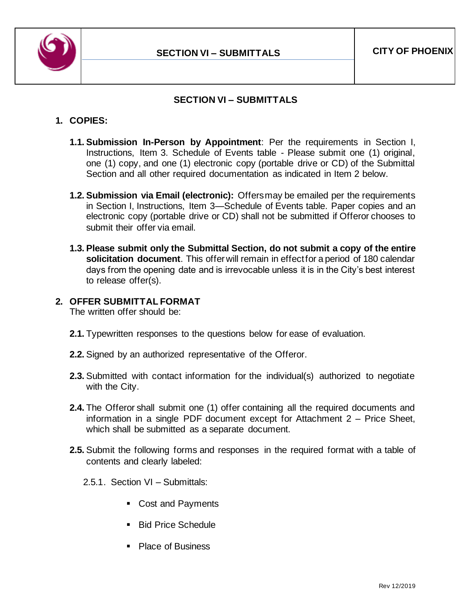

### **SECTION VI – SUBMITTALS**

### <span id="page-49-0"></span>**1. COPIES:**

- **1.1. Submission In-Person by Appointment**: Per the requirements in Section I, Instructions, Item 3. Schedule of Events table - Please submit one (1) original, one (1) copy, and one (1) electronic copy (portable drive or CD) of the Submittal Section and all other required documentation as indicated in Item 2 below.
- **1.2. Submission via Email (electronic):** Offers may be emailed per the requirements in Section I, Instructions, Item 3—Schedule of Events table. Paper copies and an electronic copy (portable drive or CD) shall not be submitted if Offeror chooses to submit their offer via email.
- **1.3. Please submit only the Submittal Section, do not submit a copy of the entire solicitation document**. This offer will remain in effect for a period of 180 calendar days from the opening date and is irrevocable unless it is in the City's best interest to release offer(s).

# **2. OFFER SUBMITTAL FORMAT**

The written offer should be:

- **2.1.** Typewritten responses to the questions below for ease of evaluation.
- **2.2.** Signed by an authorized representative of the Offeror.
- **2.3.** Submitted with contact information for the individual(s) authorized to negotiate with the City.
- **2.4.** The Offeror shall submit one (1) offer containing all the required documents and information in a single PDF document except for Attachment 2 – Price Sheet, which shall be submitted as a separate document.
- **2.5.** Submit the following forms and responses in the required format with a table of contents and clearly labeled:
	- 2.5.1. Section VI Submittals:
		- Cost and Payments
		- Bid Price Schedule
		- Place of Business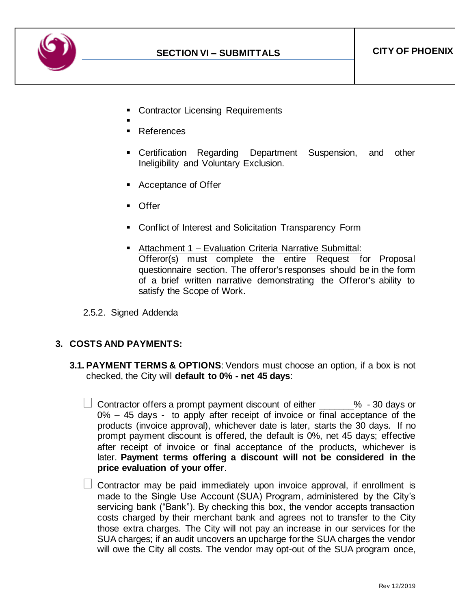

- **Contractor Licensing Requirements**
- ▪
- **References**
- **•** Certification Regarding Department Suspension, and other Ineligibility and Voluntary Exclusion.
- Acceptance of Offer
- Offer
- Conflict of Interest and Solicitation Transparency Form
- Attachment 1 Evaluation Criteria Narrative Submittal: Offeror(s) must complete the entire Request for Proposal questionnaire section. The offeror's responses should be in the form of a brief written narrative demonstrating the Offeror's ability to satisfy the Scope of Work.
- 2.5.2. Signed Addenda

#### **3. COSTS AND PAYMENTS:**

- **3.1. PAYMENT TERMS & OPTIONS**: Vendors must choose an option, if a box is not checked, the City will **default to 0% - net 45 days**:
	- $\Box$  Contractor offers a prompt payment discount of either  $\_\_\_\_$ % 30 days or 0% – 45 days - to apply after receipt of invoice or final acceptance of the products (invoice approval), whichever date is later, starts the 30 days. If no prompt payment discount is offered, the default is 0%, net 45 days; effective after receipt of invoice or final acceptance of the products, whichever is later. **Payment terms offering a discount will not be considered in the price evaluation of your offer**.
	- $\Box$  Contractor may be paid immediately upon invoice approval, if enrollment is made to the Single Use Account (SUA) Program, administered by the City's servicing bank ("Bank"). By checking this box, the vendor accepts transaction costs charged by their merchant bank and agrees not to transfer to the City those extra charges. The City will not pay an increase in our services for the SUA charges; if an audit uncovers an upcharge for the SUA charges the vendor will owe the City all costs. The vendor may opt-out of the SUA program once,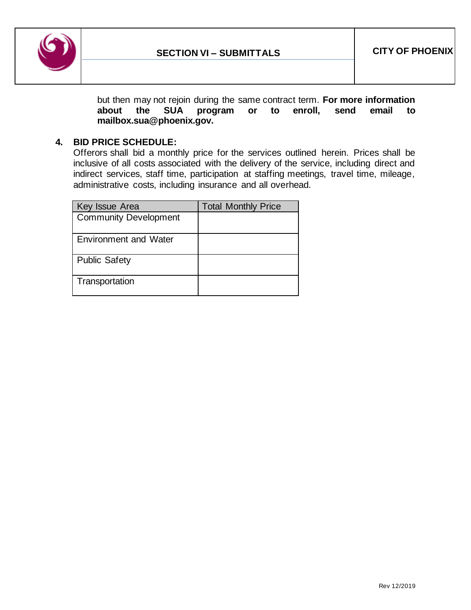

but then may not rejoin during the same contract term. **For more information about the SUA program or to enroll, send email to mailbox.sua@phoenix.gov.**

### **4. BID PRICE SCHEDULE:**

Offerors shall bid a monthly price for the services outlined herein. Prices shall be inclusive of all costs associated with the delivery of the service, including direct and indirect services, staff time, participation at staffing meetings, travel time, mileage, administrative costs, including insurance and all overhead.

| Key Issue Area               | <b>Total Monthly Price</b> |
|------------------------------|----------------------------|
| <b>Community Development</b> |                            |
| <b>Environment and Water</b> |                            |
| <b>Public Safety</b>         |                            |
| Transportation               |                            |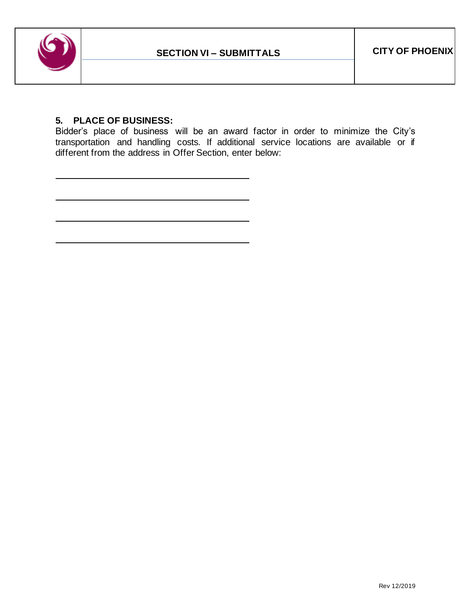

### **5. PLACE OF BUSINESS:**

Bidder's place of business will be an award factor in order to minimize the City's transportation and handling costs. If additional service locations are available or if different from the address in Offer Section, enter below: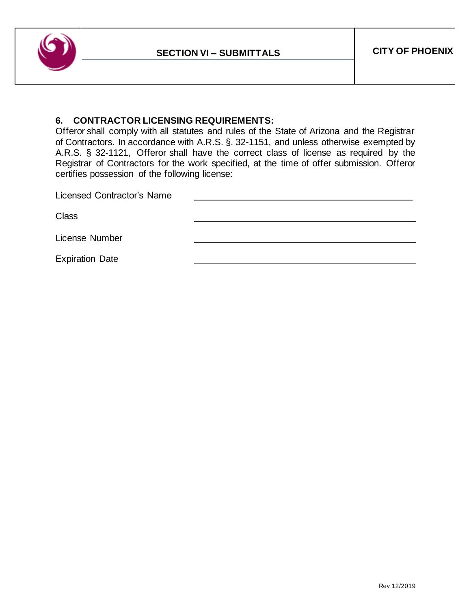

### **6. CONTRACTOR LICENSING REQUIREMENTS:**

Offeror shall comply with all statutes and rules of the State of Arizona and the Registrar of Contractors. In accordance with A.R.S. §. 32-1151, and unless otherwise exempted by A.R.S. § 32-1121, Offeror shall have the correct class of license as required by the Registrar of Contractors for the work specified, at the time of offer submission. Offeror certifies possession of the following license:

Licensed Contractor's Name **Class** License Number Expiration Date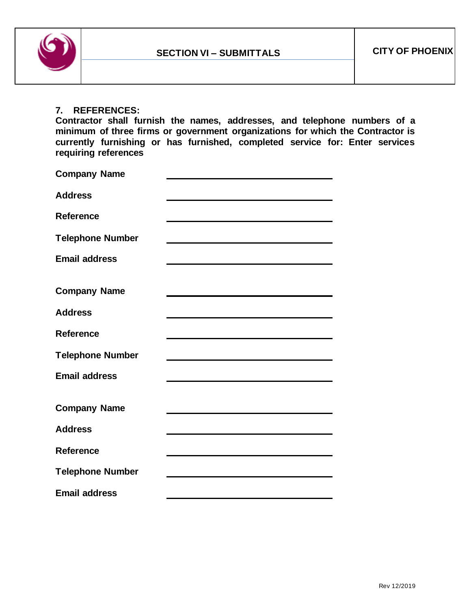

#### **7. REFERENCES:**

**Contractor shall furnish the names, addresses, and telephone numbers of a minimum of three firms or government organizations for which the Contractor is currently furnishing or has furnished, completed service for: Enter services requiring references**

| <b>Company Name</b>     |                                                                                                                                                                                                                               |
|-------------------------|-------------------------------------------------------------------------------------------------------------------------------------------------------------------------------------------------------------------------------|
| <b>Address</b>          |                                                                                                                                                                                                                               |
| <b>Reference</b>        |                                                                                                                                                                                                                               |
| <b>Telephone Number</b> |                                                                                                                                                                                                                               |
| <b>Email address</b>    |                                                                                                                                                                                                                               |
| <b>Company Name</b>     | the control of the control of the control of the control of the control of the control of the control of the control of the control of the control of the control of the control of the control of the control of the control |
| <b>Address</b>          |                                                                                                                                                                                                                               |
| Reference               | <u> 1989 - Johann Stoff, amerikansk politiker (d. 1989)</u>                                                                                                                                                                   |
| <b>Telephone Number</b> |                                                                                                                                                                                                                               |
| <b>Email address</b>    |                                                                                                                                                                                                                               |
| <b>Company Name</b>     |                                                                                                                                                                                                                               |
| <b>Address</b>          | <u> 1980 - Jan Sterling, mars and de la politica de la politica de la politica de la politica de la politica de</u>                                                                                                           |
| Reference               |                                                                                                                                                                                                                               |
| <b>Telephone Number</b> |                                                                                                                                                                                                                               |
| <b>Email address</b>    |                                                                                                                                                                                                                               |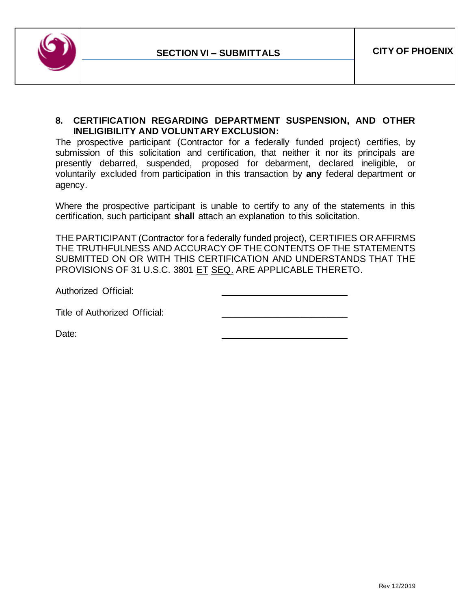

### **8. CERTIFICATION REGARDING DEPARTMENT SUSPENSION, AND OTHER INELIGIBILITY AND VOLUNTARY EXCLUSION:**

The prospective participant (Contractor for a federally funded project) certifies, by submission of this solicitation and certification, that neither it nor its principals are presently debarred, suspended, proposed for debarment, declared ineligible, or voluntarily excluded from participation in this transaction by **any** federal department or agency.

Where the prospective participant is unable to certify to any of the statements in this certification, such participant **shall** attach an explanation to this solicitation.

THE PARTICIPANT (Contractor for a federally funded project), CERTIFIES OR AFFIRMS THE TRUTHFULNESS AND ACCURACY OF THE CONTENTS OF THE STATEMENTS SUBMITTED ON OR WITH THIS CERTIFICATION AND UNDERSTANDS THAT THE PROVISIONS OF 31 U.S.C. 3801 ET SEQ. ARE APPLICABLE THERETO.

Authorized Official:

Title of Authorized Official:

Date: \_\_\_\_\_\_\_\_\_\_\_\_\_\_\_\_\_\_\_\_\_\_\_\_\_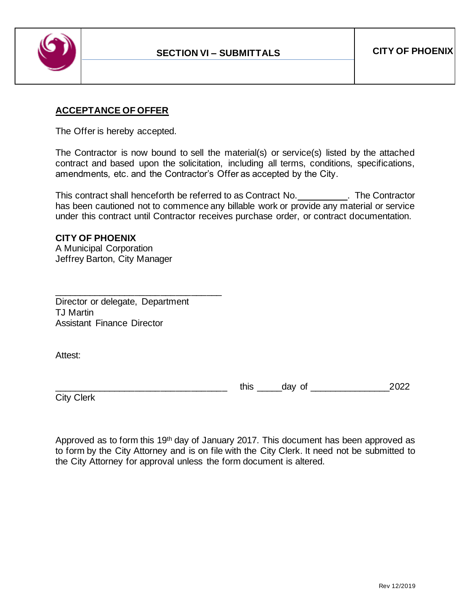

# **ACCEPTANCE OF OFFER**

The Offer is hereby accepted.

The Contractor is now bound to sell the material(s) or service(s) listed by the attached contract and based upon the solicitation, including all terms, conditions, specifications, amendments, etc. and the Contractor's Offer as accepted by the City.

This contract shall henceforth be referred to as Contract No. The Contractor has been cautioned not to commence any billable work or provide any material or service under this contract until Contractor receives purchase order, or contract documentation.

### **CITY OF PHOENIX**

A Municipal Corporation Jeffrey Barton, City Manager

Director or delegate, Department TJ Martin Assistant Finance Director

\_\_\_\_\_\_\_\_\_\_\_\_\_\_\_\_\_\_\_\_\_\_\_\_\_\_\_\_\_\_\_\_\_

Attest:

\_\_\_\_\_\_\_\_\_\_\_\_\_\_\_\_\_\_\_\_\_\_\_\_\_\_\_\_\_\_\_\_\_\_ this \_\_\_\_\_day of \_\_\_\_\_\_\_\_\_\_\_\_\_\_\_\_2022

City Clerk

Approved as to form this 19th day of January 2017. This document has been approved as to form by the City Attorney and is on file with the City Clerk. It need not be submitted to the City Attorney for approval unless the form document is altered.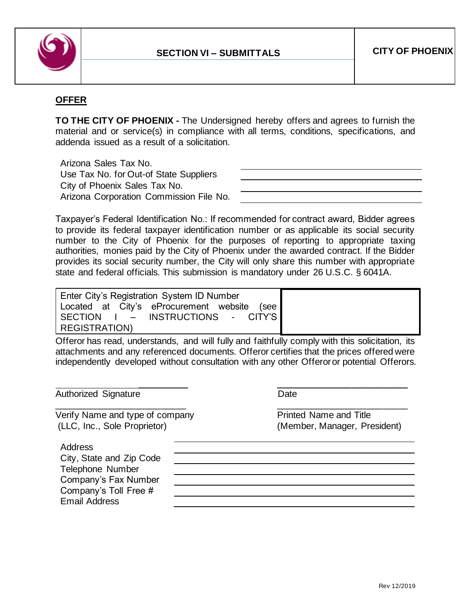

# **OFFER**

**TO THE CITY OF PHOENIX -** The Undersigned hereby offers and agrees to furnish the material and or service(s) in compliance with all terms, conditions, specifications, and addenda issued as a result of a solicitation.

Arizona Sales Tax No. Use Tax No. for Out-of State Suppliers City of Phoenix Sales Tax No. Arizona Corporation Commission File No.

Taxpayer's Federal Identification No.: If recommended for contract award, Bidder agrees to provide its federal taxpayer identification number or as applicable its social security number to the City of Phoenix for the purposes of reporting to appropriate taxing authorities, monies paid by the City of Phoenix under the awarded contract. If the Bidder provides its social security number, the City will only share this number with appropriate state and federal officials. This submission is mandatory under 26 U.S.C. § 6041A.

Enter City's Registration System ID Number Located at City's eProcurement website (see SECTION I – INSTRUCTIONS - CITY'S REGISTRATION)

Offeror has read, understands, and will fully and faithfully comply with this solicitation, its attachments and any referenced documents. Offeror certifies that the prices offered were independently developed without consultation with any other Offeror or potential Offerors.

\_\_\_\_\_\_\_\_\_\_\_\_\_\_\_\_\_\_\_\_\_\_\_\_\_\_ \_\_\_\_\_\_\_\_\_\_\_\_\_\_\_\_\_\_\_\_\_\_\_\_\_\_

Authorized Signature Date

Verify Name and type of company example and Title Printed Name and Title (LLC, Inc., Sole Proprietor) (Member, Manager, President)

\_\_\_\_\_\_\_\_\_\_ \_\_\_\_\_\_\_\_\_\_\_\_\_\_\_\_\_\_\_\_\_\_\_\_\_\_

**Address** 

City, State and Zip Code Telephone Number Company's Fax Number Company's Toll Free # Email Address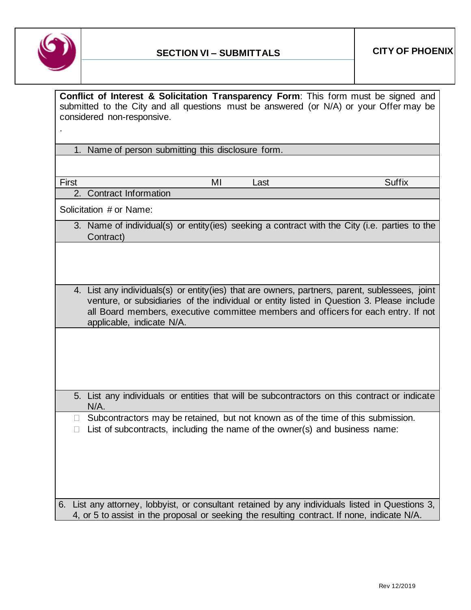

| Conflict of Interest & Solicitation Transparency Form: This form must be signed and<br>submitted to the City and all questions must be answered (or N/A) or your Offermay be<br>considered non-responsive.                                                                                                     |
|----------------------------------------------------------------------------------------------------------------------------------------------------------------------------------------------------------------------------------------------------------------------------------------------------------------|
|                                                                                                                                                                                                                                                                                                                |
| 1. Name of person submitting this disclosure form.                                                                                                                                                                                                                                                             |
|                                                                                                                                                                                                                                                                                                                |
| <b>Suffix</b><br><b>First</b><br>MI<br>Last                                                                                                                                                                                                                                                                    |
| 2. Contract Information                                                                                                                                                                                                                                                                                        |
| Solicitation # or Name:                                                                                                                                                                                                                                                                                        |
| 3. Name of individual(s) or entity(ies) seeking a contract with the City (i.e. parties to the<br>Contract)                                                                                                                                                                                                     |
|                                                                                                                                                                                                                                                                                                                |
|                                                                                                                                                                                                                                                                                                                |
| 4. List any individuals(s) or entity(ies) that are owners, partners, parent, sublessees, joint<br>venture, or subsidiaries of the individual or entity listed in Question 3. Please include<br>all Board members, executive committee members and officers for each entry. If not<br>applicable, indicate N/A. |
|                                                                                                                                                                                                                                                                                                                |
|                                                                                                                                                                                                                                                                                                                |
|                                                                                                                                                                                                                                                                                                                |
| 5. List any individuals or entities that will be subcontractors on this contract or indicate<br>$N/A$ .                                                                                                                                                                                                        |
| Subcontractors may be retained, but not known as of the time of this submission.<br>List of subcontracts, including the name of the owner(s) and business name:                                                                                                                                                |
|                                                                                                                                                                                                                                                                                                                |
|                                                                                                                                                                                                                                                                                                                |
|                                                                                                                                                                                                                                                                                                                |
|                                                                                                                                                                                                                                                                                                                |
| 6. List any attorney, lobbyist, or consultant retained by any individuals listed in Questions 3,<br>4, or 5 to assist in the proposal or seeking the resulting contract. If none, indicate N/A.                                                                                                                |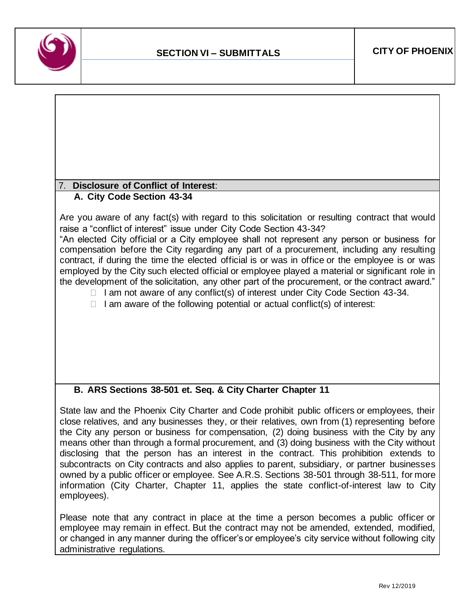

#### 7. **Disclosure of Conflict of Interest**: **A. City Code Section 43-34**

Are you aware of any fact(s) with regard to this solicitation or resulting contract that would raise a "conflict of interest" issue under City Code Section 43-34?

"An elected City official or a City employee shall not represent any person or business for compensation before the City regarding any part of a procurement, including any resulting contract, if during the time the elected official is or was in office or the employee is or was employed by the City such elected official or employee played a material or significant role in the development of the solicitation, any other part of the procurement, or the contract award."

- $\Box$  I am not aware of any conflict(s) of interest under City Code Section 43-34.
- $\Box$  I am aware of the following potential or actual conflict(s) of interest:

# **B. ARS Sections 38-501 et. Seq. & City Charter Chapter 11**

State law and the Phoenix City Charter and Code prohibit public officers or employees, their close relatives, and any businesses they, or their relatives, own from (1) representing before the City any person or business for compensation, (2) doing business with the City by any means other than through a formal procurement, and (3) doing business with the City without disclosing that the person has an interest in the contract. This prohibition extends to subcontracts on City contracts and also applies to parent, subsidiary, or partner businesses owned by a public officer or employee. See A.R.S. Sections 38-501 through 38-511, for more information (City Charter, Chapter 11, applies the state conflict-of-interest law to City employees).

Please note that any contract in place at the time a person becomes a public officer or employee may remain in effect. But the contract may not be amended, extended, modified, or changed in any manner during the officer's or employee's city service without following city administrative regulations.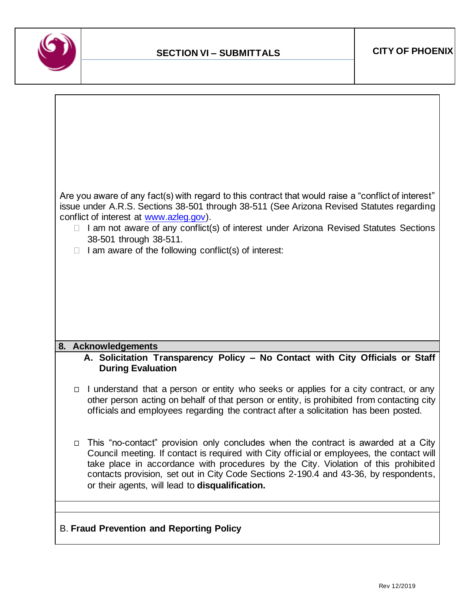

| "Are you aware of any fact(s) with regard to this contract that would raise a "conflict of interest<br>issue under A.R.S. Sections 38-501 through 38-511 (See Arizona Revised Statutes regarding<br>conflict of interest at www.azleg.gov).<br>I am not aware of any conflict(s) of interest under Arizona Revised Statutes Sections<br>$\Box$<br>38-501 through 38-511.<br>I am aware of the following conflict(s) of interest: |
|----------------------------------------------------------------------------------------------------------------------------------------------------------------------------------------------------------------------------------------------------------------------------------------------------------------------------------------------------------------------------------------------------------------------------------|
| 8. Acknowledgements<br>A. Solicitation Transparency Policy - No Contact with City Officials or Staff<br><b>During Evaluation</b>                                                                                                                                                                                                                                                                                                 |
| I understand that a person or entity who seeks or applies for a city contract, or any<br>$\Box$<br>other person acting on behalf of that person or entity, is prohibited from contacting city<br>officials and employees regarding the contract after a solicitation has been posted.                                                                                                                                            |
| This "no-contact" provision only concludes when the contract is awarded at a City<br>$\Box$<br>Council meeting. If contact is required with City official or employees, the contact will<br>take place in accordance with procedures by the City. Violation of this prohibited<br>contacts provision, set out in City Code Sections 2-190.4 and 43-36, by respondents,<br>or their agents, will lead to disqualification.        |
| <b>B. Fraud Prevention and Reporting Policy</b>                                                                                                                                                                                                                                                                                                                                                                                  |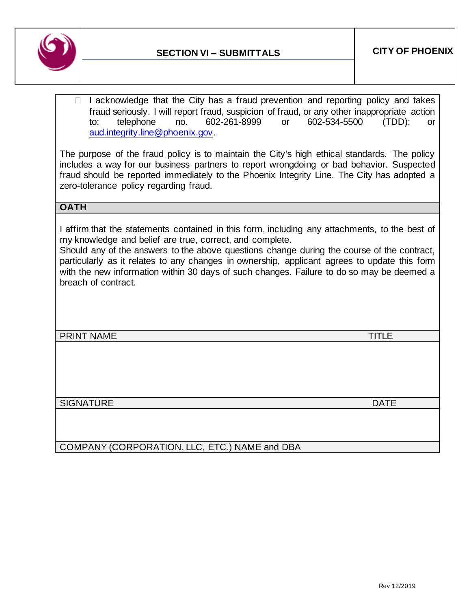

 $\Box$  I acknowledge that the City has a fraud prevention and reporting policy and takes fraud seriously. I will report fraud, suspicion of fraud, or any other inappropriate action to: telephone no. 602-261-8999 or 602-534-5500 (TDD); or [aud.integrity.line@phoenix.gov.](mailto:aud.integrity.line@phoenix.gov)

The purpose of the fraud policy is to maintain the City's high ethical standards. The policy includes a way for our business partners to report wrongdoing or bad behavior. Suspected fraud should be reported immediately to the Phoenix Integrity Line. The City has adopted a zero-tolerance policy regarding fraud.

# **OATH**

I affirm that the statements contained in this form, including any attachments, to the best of my knowledge and belief are true, correct, and complete.

Should any of the answers to the above questions change during the course of the contract, particularly as it relates to any changes in ownership, applicant agrees to update this form with the new information within 30 days of such changes. Failure to do so may be deemed a breach of contract.

PRINT NAME TITLE TO A RESERVE THE SERVER OF A RESERVE TIME OF A RESERVE TIME OF A RESERVE TIME OF A RESERVE TIME OF A RESERVE TIME OF A RESERVE TIME OF A RESERVE TIME OF A RESERVE TIME OF A RESERVE THAT A RESERVE THAT A RE

SIGNATURE DATE DATE AND A SERIES OF THE SERIES OF THE SERIES OF THE SERIES OF THE SERIES OF THE SERIES OF THE S

COMPANY (CORPORATION, LLC, ETC.) NAME and DBA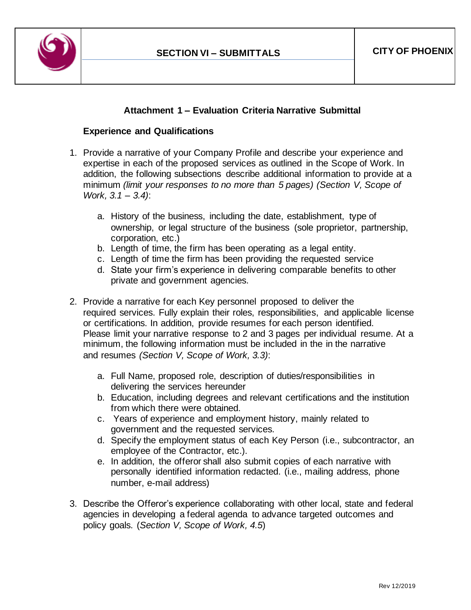

### **Attachment 1 – Evaluation Criteria Narrative Submittal**

#### **Experience and Qualifications**

- 1. Provide a narrative of your Company Profile and describe your experience and expertise in each of the proposed services as outlined in the Scope of Work. In addition, the following subsections describe additional information to provide at a minimum *(limit your responses to no more than 5 pages) (Section V, Scope of Work, 3.1 – 3.4)*:
	- a. History of the business, including the date, establishment, type of ownership, or legal structure of the business (sole proprietor, partnership, corporation, etc.)
	- b. Length of time, the firm has been operating as a legal entity.
	- c. Length of time the firm has been providing the requested service
	- d. State your firm's experience in delivering comparable benefits to other private and government agencies.
- 2. Provide a narrative for each Key personnel proposed to deliver the required services. Fully explain their roles, responsibilities, and applicable license or certifications. In addition, provide resumes for each person identified. Please limit your narrative response to 2 and 3 pages per individual resume. At a minimum, the following information must be included in the in the narrative and resumes *(Section V, Scope of Work, 3.3)*:
	- a. Full Name, proposed role, description of duties/responsibilities in delivering the services hereunder
	- b. Education, including degrees and relevant certifications and the institution from which there were obtained.
	- c. Years of experience and employment history, mainly related to government and the requested services.
	- d. Specify the employment status of each Key Person (i.e., subcontractor, an employee of the Contractor, etc.).
	- e. In addition, the offeror shall also submit copies of each narrative with personally identified information redacted. (i.e., mailing address, phone number, e-mail address)
- 3. Describe the Offeror's experience collaborating with other local, state and federal agencies in developing a federal agenda to advance targeted outcomes and policy goals. (*Section V, Scope of Work, 4.5*)